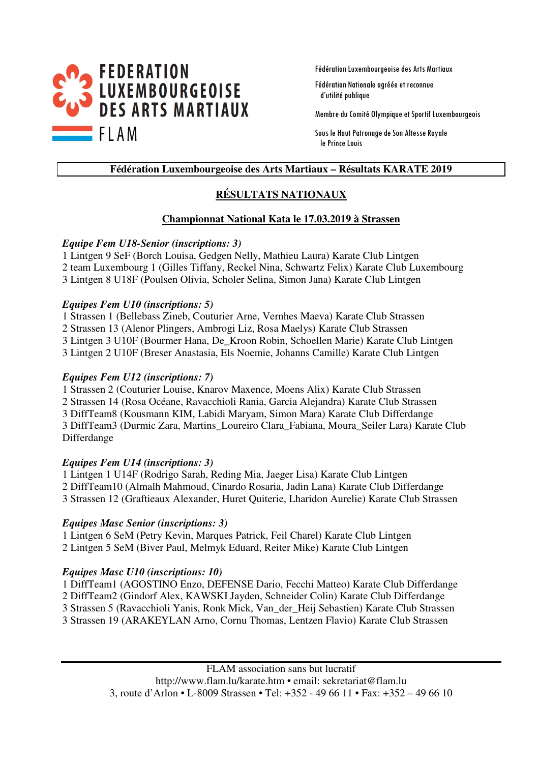

Fédération Luxembourgeoise des Arts Martiaux

Fédération Nationale agréée et reconnue d'utilité publique

Membre du Comité Olympique et Sportif Luxembourgeois

Sous le Haut Patronage de Son Altesse Royale le Prince Louis

#### **Fédération Luxembourgeoise des Arts Martiaux – Résultats KARATE 2019**

### **RÉSULTATS NATIONAUX**

#### **Championnat National Kata le 17.03.2019 à Strassen**

#### *Equipe Fem U18-Senior (inscriptions: 3)*

1 Lintgen 9 SeF (Borch Louisa, Gedgen Nelly, Mathieu Laura) Karate Club Lintgen 2 team Luxembourg 1 (Gilles Tiffany, Reckel Nina, Schwartz Felix) Karate Club Luxembourg 3 Lintgen 8 U18F (Poulsen Olivia, Scholer Selina, Simon Jana) Karate Club Lintgen

#### *Equipes Fem U10 (inscriptions: 5)*

1 Strassen 1 (Bellebass Zineb, Couturier Arne, Vernhes Maeva) Karate Club Strassen 2 Strassen 13 (Alenor Plingers, Ambrogi Liz, Rosa Maelys) Karate Club Strassen 3 Lintgen 3 U10F (Bourmer Hana, De\_Kroon Robin, Schoellen Marie) Karate Club Lintgen 3 Lintgen 2 U10F (Breser Anastasia, Els Noemie, Johanns Camille) Karate Club Lintgen

#### *Equipes Fem U12 (inscriptions: 7)*

1 Strassen 2 (Couturier Louise, Knarov Maxence, Moens Alix) Karate Club Strassen 2 Strassen 14 (Rosa Océane, Ravacchioli Rania, Garcia Alejandra) Karate Club Strassen 3 DiffTeam8 (Kousmann KIM, Labidi Maryam, Simon Mara) Karate Club Differdange 3 DiffTeam3 (Durmic Zara, Martins\_Loureiro Clara\_Fabiana, Moura\_Seiler Lara) Karate Club Differdange

#### *Equipes Fem U14 (inscriptions: 3)*

1 Lintgen 1 U14F (Rodrigo Sarah, Reding Mia, Jaeger Lisa) Karate Club Lintgen 2 DiffTeam10 (Almalh Mahmoud, Cinardo Rosaria, Jadin Lana) Karate Club Differdange 3 Strassen 12 (Graftieaux Alexander, Huret Quiterie, Lharidon Aurelie) Karate Club Strassen

#### *Equipes Masc Senior (inscriptions: 3)*

1 Lintgen 6 SeM (Petry Kevin, Marques Patrick, Feil Charel) Karate Club Lintgen 2 Lintgen 5 SeM (Biver Paul, Melmyk Eduard, Reiter Mike) Karate Club Lintgen

#### *Equipes Masc U10 (inscriptions: 10)*

1 DiffTeam1 (AGOSTINO Enzo, DEFENSE Dario, Fecchi Matteo) Karate Club Differdange 2 DiffTeam2 (Gindorf Alex, KAWSKI Jayden, Schneider Colin) Karate Club Differdange 3 Strassen 5 (Ravacchioli Yanis, Ronk Mick, Van\_der\_Heij Sebastien) Karate Club Strassen 3 Strassen 19 (ARAKEYLAN Arno, Cornu Thomas, Lentzen Flavio) Karate Club Strassen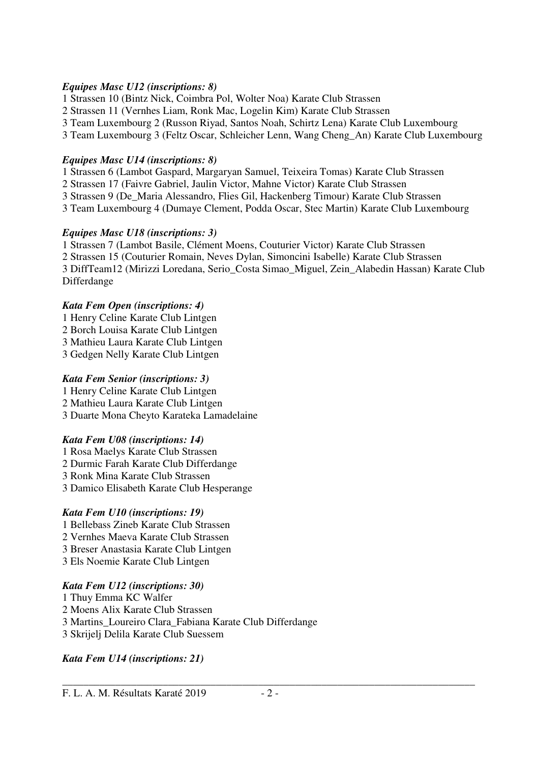#### *Equipes Masc U12 (inscriptions: 8)*

1 Strassen 10 (Bintz Nick, Coimbra Pol, Wolter Noa) Karate Club Strassen

- 2 Strassen 11 (Vernhes Liam, Ronk Mac, Logelin Kim) Karate Club Strassen
- 3 Team Luxembourg 2 (Russon Riyad, Santos Noah, Schirtz Lena) Karate Club Luxembourg
- 3 Team Luxembourg 3 (Feltz Oscar, Schleicher Lenn, Wang Cheng\_An) Karate Club Luxembourg

#### *Equipes Masc U14 (inscriptions: 8)*

- 1 Strassen 6 (Lambot Gaspard, Margaryan Samuel, Teixeira Tomas) Karate Club Strassen
- 2 Strassen 17 (Faivre Gabriel, Jaulin Victor, Mahne Victor) Karate Club Strassen
- 3 Strassen 9 (De\_Maria Alessandro, Flies Gil, Hackenberg Timour) Karate Club Strassen
- 3 Team Luxembourg 4 (Dumaye Clement, Podda Oscar, Stec Martin) Karate Club Luxembourg

### *Equipes Masc U18 (inscriptions: 3)*

1 Strassen 7 (Lambot Basile, Clément Moens, Couturier Victor) Karate Club Strassen 2 Strassen 15 (Couturier Romain, Neves Dylan, Simoncini Isabelle) Karate Club Strassen 3 DiffTeam12 (Mirizzi Loredana, Serio\_Costa Simao\_Miguel, Zein\_Alabedin Hassan) Karate Club Differdange

### *Kata Fem Open (inscriptions: 4)*

- 1 Henry Celine Karate Club Lintgen 2 Borch Louisa Karate Club Lintgen 3 Mathieu Laura Karate Club Lintgen
- 3 Gedgen Nelly Karate Club Lintgen

### *Kata Fem Senior (inscriptions: 3)*

1 Henry Celine Karate Club Lintgen 2 Mathieu Laura Karate Club Lintgen 3 Duarte Mona Cheyto Karateka Lamadelaine

### *Kata Fem U08 (inscriptions: 14)*

- 1 Rosa Maelys Karate Club Strassen
- 2 Durmic Farah Karate Club Differdange
- 3 Ronk Mina Karate Club Strassen
- 3 Damico Elisabeth Karate Club Hesperange

### *Kata Fem U10 (inscriptions: 19)*

- 1 Bellebass Zineb Karate Club Strassen
- 2 Vernhes Maeva Karate Club Strassen
- 3 Breser Anastasia Karate Club Lintgen
- 3 Els Noemie Karate Club Lintgen

### *Kata Fem U12 (inscriptions: 30)*

1 Thuy Emma KC Walfer 2 Moens Alix Karate Club Strassen 3 Martins\_Loureiro Clara\_Fabiana Karate Club Differdange 3 Skrijelj Delila Karate Club Suessem

### *Kata Fem U14 (inscriptions: 21)*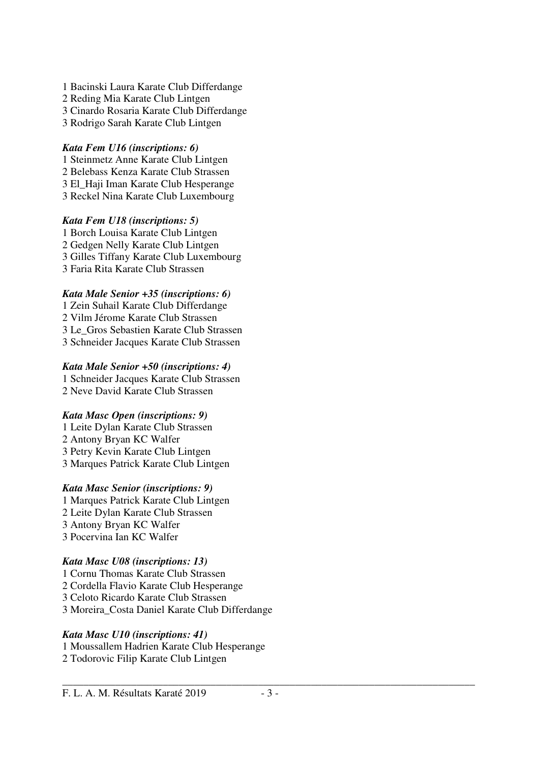- 1 Bacinski Laura Karate Club Differdange
- 2 Reding Mia Karate Club Lintgen
- 3 Cinardo Rosaria Karate Club Differdange
- 3 Rodrigo Sarah Karate Club Lintgen

### *Kata Fem U16 (inscriptions: 6)*

- 1 Steinmetz Anne Karate Club Lintgen
- 2 Belebass Kenza Karate Club Strassen
- 3 El\_Haji Iman Karate Club Hesperange 3 Reckel Nina Karate Club Luxembourg
- 

### *Kata Fem U18 (inscriptions: 5)*

1 Borch Louisa Karate Club Lintgen 2 Gedgen Nelly Karate Club Lintgen 3 Gilles Tiffany Karate Club Luxembourg 3 Faria Rita Karate Club Strassen

### *Kata Male Senior +35 (inscriptions: 6)*

1 Zein Suhail Karate Club Differdange 2 Vilm Jérome Karate Club Strassen 3 Le\_Gros Sebastien Karate Club Strassen 3 Schneider Jacques Karate Club Strassen

### *Kata Male Senior +50 (inscriptions: 4)*

1 Schneider Jacques Karate Club Strassen 2 Neve David Karate Club Strassen

### *Kata Masc Open (inscriptions: 9)*

1 Leite Dylan Karate Club Strassen 2 Antony Bryan KC Walfer 3 Petry Kevin Karate Club Lintgen 3 Marques Patrick Karate Club Lintgen

### *Kata Masc Senior (inscriptions: 9)*

1 Marques Patrick Karate Club Lintgen 2 Leite Dylan Karate Club Strassen 3 Antony Bryan KC Walfer 3 Pocervina Ian KC Walfer

### *Kata Masc U08 (inscriptions: 13)*

1 Cornu Thomas Karate Club Strassen 2 Cordella Flavio Karate Club Hesperange 3 Celoto Ricardo Karate Club Strassen 3 Moreira\_Costa Daniel Karate Club Differdange

### *Kata Masc U10 (inscriptions: 41)*

1 Moussallem Hadrien Karate Club Hesperange 2 Todorovic Filip Karate Club Lintgen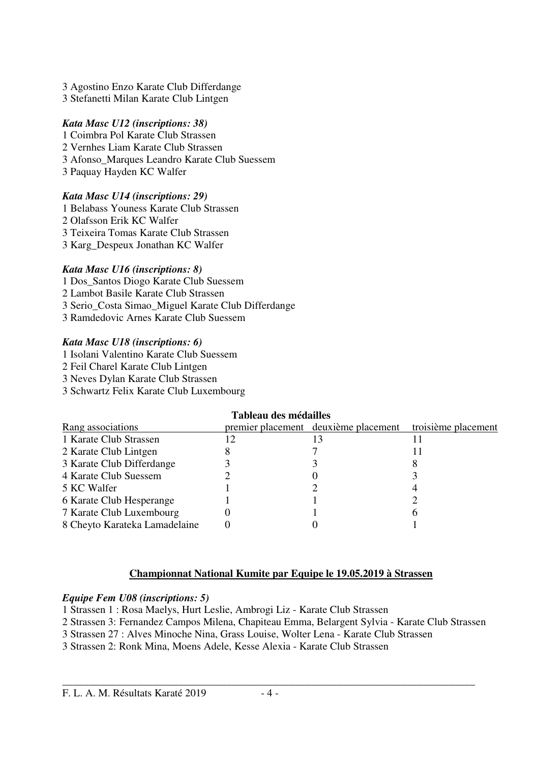- 3 Agostino Enzo Karate Club Differdange
- 3 Stefanetti Milan Karate Club Lintgen

### *Kata Masc U12 (inscriptions: 38)*

- 1 Coimbra Pol Karate Club Strassen
- 2 Vernhes Liam Karate Club Strassen
- 3 Afonso\_Marques Leandro Karate Club Suessem
- 3 Paquay Hayden KC Walfer

### *Kata Masc U14 (inscriptions: 29)*

- 1 Belabass Youness Karate Club Strassen
- 2 Olafsson Erik KC Walfer
- 3 Teixeira Tomas Karate Club Strassen
- 3 Karg\_Despeux Jonathan KC Walfer

### *Kata Masc U16 (inscriptions: 8)*

- 1 Dos\_Santos Diogo Karate Club Suessem
- 2 Lambot Basile Karate Club Strassen
- 3 Serio\_Costa Simao\_Miguel Karate Club Differdange
- 3 Ramdedovic Arnes Karate Club Suessem

### *Kata Masc U18 (inscriptions: 6)*

- 1 Isolani Valentino Karate Club Suessem
- 2 Feil Charel Karate Club Lintgen
- 3 Neves Dylan Karate Club Strassen
- 3 Schwartz Felix Karate Club Luxembourg

### **Tableau des médailles**

| Rang associations             | premier placement deuxième placement | troisième placement |
|-------------------------------|--------------------------------------|---------------------|
| 1 Karate Club Strassen        |                                      |                     |
| 2 Karate Club Lintgen         |                                      |                     |
| 3 Karate Club Differdange     |                                      | Ω                   |
| 4 Karate Club Suessem         |                                      |                     |
| 5 KC Walfer                   |                                      |                     |
| 6 Karate Club Hesperange      |                                      |                     |
| 7 Karate Club Luxembourg      |                                      |                     |
| 8 Cheyto Karateka Lamadelaine |                                      |                     |

### **Championnat National Kumite par Equipe le 19.05.2019 à Strassen**

### *Equipe Fem U08 (inscriptions: 5)*

1 Strassen 1 : Rosa Maelys, Hurt Leslie, Ambrogi Liz - Karate Club Strassen

- 2 Strassen 3: Fernandez Campos Milena, Chapiteau Emma, Belargent Sylvia Karate Club Strassen
- 3 Strassen 27 : Alves Minoche Nina, Grass Louise, Wolter Lena Karate Club Strassen
- 3 Strassen 2: Ronk Mina, Moens Adele, Kesse Alexia Karate Club Strassen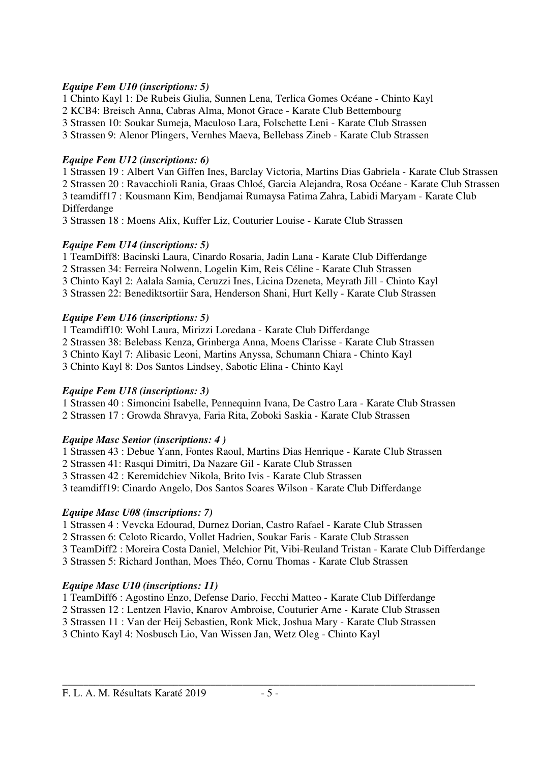#### *Equipe Fem U10 (inscriptions: 5)*

1 Chinto Kayl 1: De Rubeis Giulia, Sunnen Lena, Terlica Gomes Océane - Chinto Kayl

2 KCB4: Breisch Anna, Cabras Alma, Monot Grace - Karate Club Bettembourg

3 Strassen 10: Soukar Sumeja, Maculoso Lara, Folschette Leni - Karate Club Strassen

3 Strassen 9: Alenor Plingers, Vernhes Maeva, Bellebass Zineb - Karate Club Strassen

### *Equipe Fem U12 (inscriptions: 6)*

1 Strassen 19 : Albert Van Giffen Ines, Barclay Victoria, Martins Dias Gabriela - Karate Club Strassen 2 Strassen 20 : Ravacchioli Rania, Graas Chloé, Garcia Alejandra, Rosa Océane - Karate Club Strassen 3 teamdiff17 : Kousmann Kim, Bendjamai Rumaysa Fatima Zahra, Labidi Maryam - Karate Club Differdange

3 Strassen 18 : Moens Alix, Kuffer Liz, Couturier Louise - Karate Club Strassen

### *Equipe Fem U14 (inscriptions: 5)*

1 TeamDiff8: Bacinski Laura, Cinardo Rosaria, Jadin Lana - Karate Club Differdange

2 Strassen 34: Ferreira Nolwenn, Logelin Kim, Reis Céline - Karate Club Strassen

3 Chinto Kayl 2: Aalala Samia, Ceruzzi Ines, Licina Dzeneta, Meyrath Jill - Chinto Kayl

3 Strassen 22: Benediktsortiir Sara, Henderson Shani, Hurt Kelly - Karate Club Strassen

### *Equipe Fem U16 (inscriptions: 5)*

1 Teamdiff10: Wohl Laura, Mirizzi Loredana - Karate Club Differdange

2 Strassen 38: Belebass Kenza, Grinberga Anna, Moens Clarisse - Karate Club Strassen

3 Chinto Kayl 7: Alibasic Leoni, Martins Anyssa, Schumann Chiara - Chinto Kayl

3 Chinto Kayl 8: Dos Santos Lindsey, Sabotic Elina - Chinto Kayl

### *Equipe Fem U18 (inscriptions: 3)*

1 Strassen 40 : Simoncini Isabelle, Pennequinn Ivana, De Castro Lara - Karate Club Strassen 2 Strassen 17 : Growda Shravya, Faria Rita, Zoboki Saskia - Karate Club Strassen

### *Equipe Masc Senior (inscriptions: 4 )*

1 Strassen 43 : Debue Yann, Fontes Raoul, Martins Dias Henrique - Karate Club Strassen

2 Strassen 41: Rasqui Dimitri, Da Nazare Gil - Karate Club Strassen

3 Strassen 42 : Keremidchiev Nikola, Brito Ivis - Karate Club Strassen

3 teamdiff19: Cinardo Angelo, Dos Santos Soares Wilson - Karate Club Differdange

### *Equipe Masc U08 (inscriptions: 7)*

1 Strassen 4 : Vevcka Edourad, Durnez Dorian, Castro Rafael - Karate Club Strassen

2 Strassen 6: Celoto Ricardo, Vollet Hadrien, Soukar Faris - Karate Club Strassen

3 TeamDiff2 : Moreira Costa Daniel, Melchior Pit, Vibi-Reuland Tristan - Karate Club Differdange

3 Strassen 5: Richard Jonthan, Moes Théo, Cornu Thomas - Karate Club Strassen

### *Equipe Masc U10 (inscriptions: 11)*

1 TeamDiff6 : Agostino Enzo, Defense Dario, Fecchi Matteo - Karate Club Differdange

2 Strassen 12 : Lentzen Flavio, Knarov Ambroise, Couturier Arne - Karate Club Strassen

3 Strassen 11 : Van der Heij Sebastien, Ronk Mick, Joshua Mary - Karate Club Strassen

3 Chinto Kayl 4: Nosbusch Lio, Van Wissen Jan, Wetz Oleg - Chinto Kayl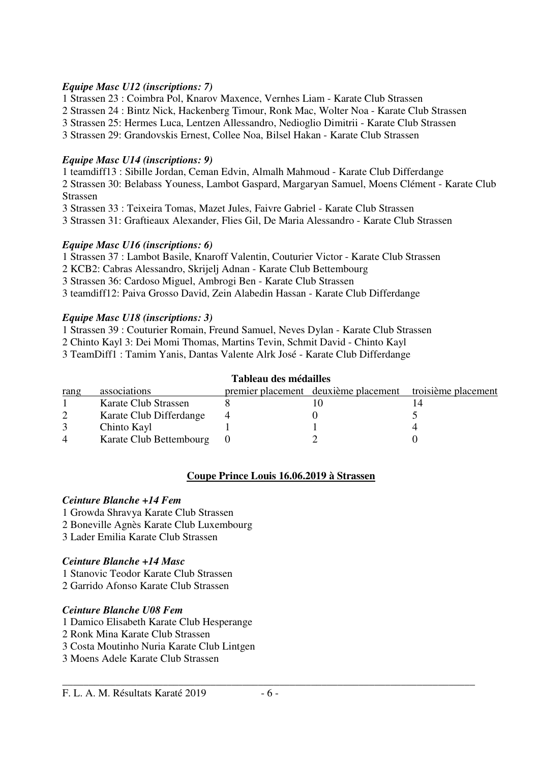#### *Equipe Masc U12 (inscriptions: 7)*

1 Strassen 23 : Coimbra Pol, Knarov Maxence, Vernhes Liam - Karate Club Strassen

2 Strassen 24 : Bintz Nick, Hackenberg Timour, Ronk Mac, Wolter Noa - Karate Club Strassen

3 Strassen 25: Hermes Luca, Lentzen Allessandro, Nedioglio Dimitrii - Karate Club Strassen

3 Strassen 29: Grandovskis Ernest, Collee Noa, Bilsel Hakan - Karate Club Strassen

#### *Equipe Masc U14 (inscriptions: 9)*

1 teamdiff13 : Sibille Jordan, Ceman Edvin, Almalh Mahmoud - Karate Club Differdange

2 Strassen 30: Belabass Youness, Lambot Gaspard, Margaryan Samuel, Moens Clément - Karate Club Strassen

3 Strassen 33 : Teixeira Tomas, Mazet Jules, Faivre Gabriel - Karate Club Strassen

3 Strassen 31: Graftieaux Alexander, Flies Gil, De Maria Alessandro - Karate Club Strassen

#### *Equipe Masc U16 (inscriptions: 6)*

1 Strassen 37 : Lambot Basile, Knaroff Valentin, Couturier Victor - Karate Club Strassen

2 KCB2: Cabras Alessandro, Skrijelj Adnan - Karate Club Bettembourg

3 Strassen 36: Cardoso Miguel, Ambrogi Ben - Karate Club Strassen

3 teamdiff12: Paiva Grosso David, Zein Alabedin Hassan - Karate Club Differdange

#### *Equipe Masc U18 (inscriptions: 3)*

1 Strassen 39 : Couturier Romain, Freund Samuel, Neves Dylan - Karate Club Strassen

2 Chinto Kayl 3: Dei Momi Thomas, Martins Tevin, Schmit David - Chinto Kayl

3 TeamDiff1 : Tamim Yanis, Dantas Valente Alrk José - Karate Club Differdange

| Tableau des médailles |                         |  |                                      |                     |  |  |
|-----------------------|-------------------------|--|--------------------------------------|---------------------|--|--|
| rang                  | associations            |  | premier placement deuxième placement | troisième placement |  |  |
|                       | Karate Club Strassen    |  |                                      |                     |  |  |
| 2                     | Karate Club Differdange |  |                                      |                     |  |  |
|                       | Chinto Kayl             |  |                                      |                     |  |  |
|                       | Karate Club Bettembourg |  |                                      |                     |  |  |

### **Coupe Prince Louis 16.06.2019 à Strassen**

#### *Ceinture Blanche +14 Fem*

- 1 Growda Shravya Karate Club Strassen
- 2 Boneville Agnès Karate Club Luxembourg
- 3 Lader Emilia Karate Club Strassen

### *Ceinture Blanche +14 Masc*

1 Stanovic Teodor Karate Club Strassen

2 Garrido Afonso Karate Club Strassen

#### *Ceinture Blanche U08 Fem*

1 Damico Elisabeth Karate Club Hesperange

- 2 Ronk Mina Karate Club Strassen
- 3 Costa Moutinho Nuria Karate Club Lintgen

3 Moens Adele Karate Club Strassen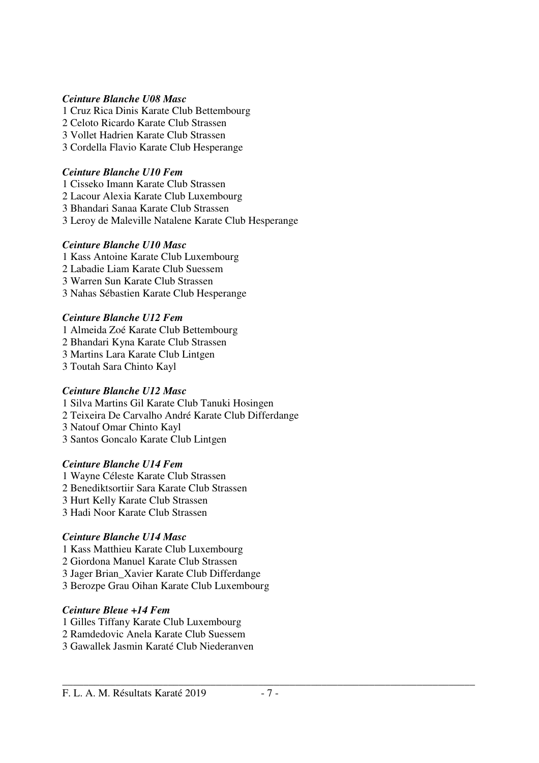#### *Ceinture Blanche U08 Masc*

1 Cruz Rica Dinis Karate Club Bettembourg 2 Celoto Ricardo Karate Club Strassen 3 Vollet Hadrien Karate Club Strassen 3 Cordella Flavio Karate Club Hesperange

### *Ceinture Blanche U10 Fem*

1 Cisseko Imann Karate Club Strassen

2 Lacour Alexia Karate Club Luxembourg 3 Bhandari Sanaa Karate Club Strassen

3 Leroy de Maleville Natalene Karate Club Hesperange

### *Ceinture Blanche U10 Masc*

1 Kass Antoine Karate Club Luxembourg 2 Labadie Liam Karate Club Suessem

3 Warren Sun Karate Club Strassen

3 Nahas Sébastien Karate Club Hesperange

### *Ceinture Blanche U12 Fem*

1 Almeida Zoé Karate Club Bettembourg

2 Bhandari Kyna Karate Club Strassen

3 Martins Lara Karate Club Lintgen

3 Toutah Sara Chinto Kayl

#### *Ceinture Blanche U12 Masc*

1 Silva Martins Gil Karate Club Tanuki Hosingen

2 Teixeira De Carvalho André Karate Club Differdange

3 Natouf Omar Chinto Kayl

3 Santos Goncalo Karate Club Lintgen

### *Ceinture Blanche U14 Fem*

1 Wayne Céleste Karate Club Strassen 2 Benediktsortiir Sara Karate Club Strassen

3 Hurt Kelly Karate Club Strassen

3 Hadi Noor Karate Club Strassen

### *Ceinture Blanche U14 Masc*

1 Kass Matthieu Karate Club Luxembourg

2 Giordona Manuel Karate Club Strassen

3 Jager Brian\_Xavier Karate Club Differdange

3 Berozpe Grau Oihan Karate Club Luxembourg

### *Ceinture Bleue +14 Fem*

- 1 Gilles Tiffany Karate Club Luxembourg
- 2 Ramdedovic Anela Karate Club Suessem
- 3 Gawallek Jasmin Karaté Club Niederanven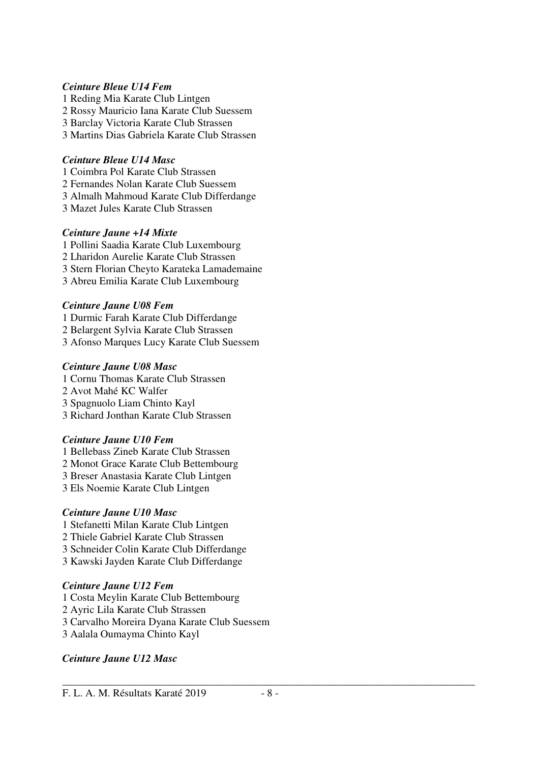#### *Ceinture Bleue U14 Fem*

- 1 Reding Mia Karate Club Lintgen
- 2 Rossy Mauricio Iana Karate Club Suessem
- 3 Barclay Victoria Karate Club Strassen
- 3 Martins Dias Gabriela Karate Club Strassen

### *Ceinture Bleue U14 Masc*

- 1 Coimbra Pol Karate Club Strassen
- 2 Fernandes Nolan Karate Club Suessem
- 3 Almalh Mahmoud Karate Club Differdange
- 3 Mazet Jules Karate Club Strassen

### *Ceinture Jaune +14 Mixte*

- 1 Pollini Saadia Karate Club Luxembourg
- 2 Lharidon Aurelie Karate Club Strassen
- 3 Stern Florian Cheyto Karateka Lamademaine
- 3 Abreu Emilia Karate Club Luxembourg

### *Ceinture Jaune U08 Fem*

1 Durmic Farah Karate Club Differdange 2 Belargent Sylvia Karate Club Strassen 3 Afonso Marques Lucy Karate Club Suessem

### *Ceinture Jaune U08 Masc*

1 Cornu Thomas Karate Club Strassen 2 Avot Mahé KC Walfer 3 Spagnuolo Liam Chinto Kayl 3 Richard Jonthan Karate Club Strassen

### *Ceinture Jaune U10 Fem*

- 1 Bellebass Zineb Karate Club Strassen
- 2 Monot Grace Karate Club Bettembourg
- 3 Breser Anastasia Karate Club Lintgen
- 3 Els Noemie Karate Club Lintgen

### *Ceinture Jaune U10 Masc*

- 1 Stefanetti Milan Karate Club Lintgen
- 2 Thiele Gabriel Karate Club Strassen
- 3 Schneider Colin Karate Club Differdange
- 3 Kawski Jayden Karate Club Differdange

### *Ceinture Jaune U12 Fem*

- 1 Costa Meylin Karate Club Bettembourg
- 2 Ayric Lila Karate Club Strassen
- 3 Carvalho Moreira Dyana Karate Club Suessem
- 3 Aalala Oumayma Chinto Kayl

### *Ceinture Jaune U12 Masc*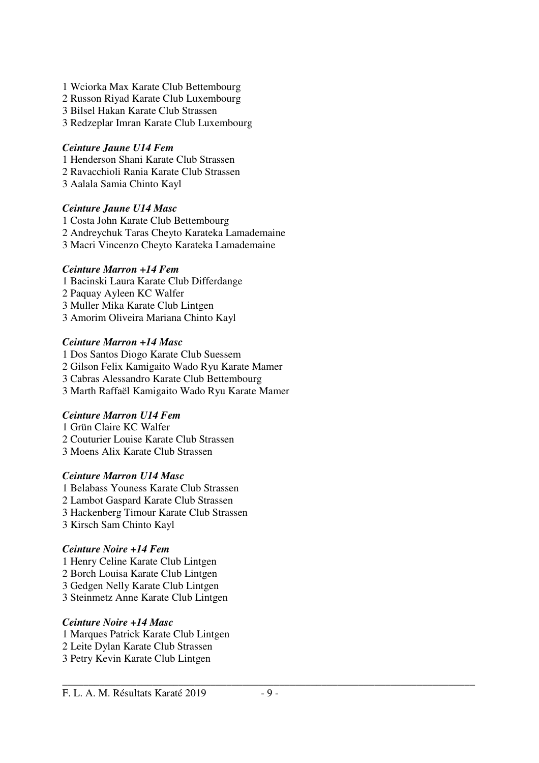- 1 Wciorka Max Karate Club Bettembourg
- 2 Russon Riyad Karate Club Luxembourg
- 3 Bilsel Hakan Karate Club Strassen
- 3 Redzeplar Imran Karate Club Luxembourg

#### *Ceinture Jaune U14 Fem*

- 1 Henderson Shani Karate Club Strassen
- 2 Ravacchioli Rania Karate Club Strassen
- 3 Aalala Samia Chinto Kayl

### *Ceinture Jaune U14 Masc*

1 Costa John Karate Club Bettembourg 2 Andreychuk Taras Cheyto Karateka Lamademaine 3 Macri Vincenzo Cheyto Karateka Lamademaine

### *Ceinture Marron +14 Fem*

- 1 Bacinski Laura Karate Club Differdange
- 2 Paquay Ayleen KC Walfer
- 3 Muller Mika Karate Club Lintgen
- 3 Amorim Oliveira Mariana Chinto Kayl

### *Ceinture Marron +14 Masc*

1 Dos Santos Diogo Karate Club Suessem 2 Gilson Felix Kamigaito Wado Ryu Karate Mamer 3 Cabras Alessandro Karate Club Bettembourg 3 Marth Raffaël Kamigaito Wado Ryu Karate Mamer

### *Ceinture Marron U14 Fem*

1 Grün Claire KC Walfer 2 Couturier Louise Karate Club Strassen 3 Moens Alix Karate Club Strassen

### *Ceinture Marron U14 Masc*

1 Belabass Youness Karate Club Strassen 2 Lambot Gaspard Karate Club Strassen 3 Hackenberg Timour Karate Club Strassen 3 Kirsch Sam Chinto Kayl

### *Ceinture Noire +14 Fem*

- 1 Henry Celine Karate Club Lintgen
- 2 Borch Louisa Karate Club Lintgen
- 3 Gedgen Nelly Karate Club Lintgen
- 3 Steinmetz Anne Karate Club Lintgen

### *Ceinture Noire +14 Masc*

- 1 Marques Patrick Karate Club Lintgen
- 2 Leite Dylan Karate Club Strassen
- 3 Petry Kevin Karate Club Lintgen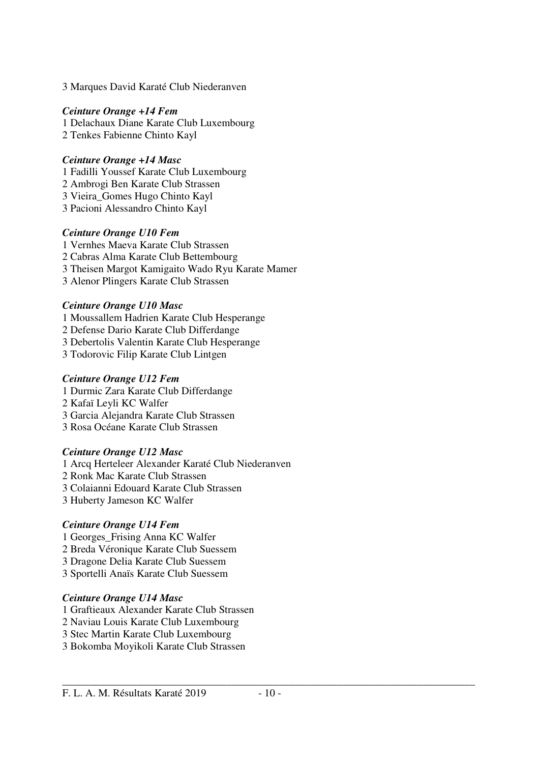3 Marques David Karaté Club Niederanven

#### *Ceinture Orange +14 Fem*

1 Delachaux Diane Karate Club Luxembourg 2 Tenkes Fabienne Chinto Kayl

### *Ceinture Orange +14 Masc*

1 Fadilli Youssef Karate Club Luxembourg

- 2 Ambrogi Ben Karate Club Strassen
- 3 Vieira\_Gomes Hugo Chinto Kayl
- 3 Pacioni Alessandro Chinto Kayl

### *Ceinture Orange U10 Fem*

- 1 Vernhes Maeva Karate Club Strassen
- 2 Cabras Alma Karate Club Bettembourg
- 3 Theisen Margot Kamigaito Wado Ryu Karate Mamer
- 3 Alenor Plingers Karate Club Strassen

### *Ceinture Orange U10 Masc*

- 1 Moussallem Hadrien Karate Club Hesperange
- 2 Defense Dario Karate Club Differdange
- 3 Debertolis Valentin Karate Club Hesperange
- 3 Todorovic Filip Karate Club Lintgen

### *Ceinture Orange U12 Fem*

- 1 Durmic Zara Karate Club Differdange
- 2 Kafaï Leyli KC Walfer
- 3 Garcia Alejandra Karate Club Strassen
- 3 Rosa Océane Karate Club Strassen

### *Ceinture Orange U12 Masc*

1 Arcq Herteleer Alexander Karaté Club Niederanven

- 2 Ronk Mac Karate Club Strassen
- 3 Colaianni Edouard Karate Club Strassen
- 3 Huberty Jameson KC Walfer

### *Ceinture Orange U14 Fem*

- 1 Georges\_Frising Anna KC Walfer
- 2 Breda Véronique Karate Club Suessem
- 3 Dragone Delia Karate Club Suessem
- 3 Sportelli Anaïs Karate Club Suessem

### *Ceinture Orange U14 Masc*

- 1 Graftieaux Alexander Karate Club Strassen
- 2 Naviau Louis Karate Club Luxembourg
- 3 Stec Martin Karate Club Luxembourg
- 3 Bokomba Moyikoli Karate Club Strassen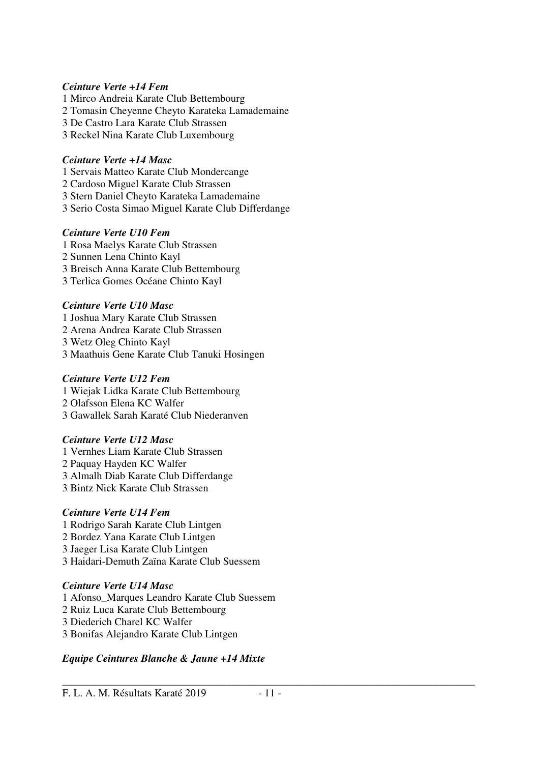#### *Ceinture Verte +14 Fem*

- 1 Mirco Andreia Karate Club Bettembourg
- 2 Tomasin Cheyenne Cheyto Karateka Lamademaine
- 3 De Castro Lara Karate Club Strassen
- 3 Reckel Nina Karate Club Luxembourg

### *Ceinture Verte +14 Masc*

- 1 Servais Matteo Karate Club Mondercange
- 2 Cardoso Miguel Karate Club Strassen
- 3 Stern Daniel Cheyto Karateka Lamademaine
- 3 Serio Costa Simao Miguel Karate Club Differdange

### *Ceinture Verte U10 Fem*

1 Rosa Maelys Karate Club Strassen 2 Sunnen Lena Chinto Kayl 3 Breisch Anna Karate Club Bettembourg 3 Terlica Gomes Océane Chinto Kayl

### *Ceinture Verte U10 Masc*

1 Joshua Mary Karate Club Strassen 2 Arena Andrea Karate Club Strassen 3 Wetz Oleg Chinto Kayl 3 Maathuis Gene Karate Club Tanuki Hosingen

### *Ceinture Verte U12 Fem*

1 Wiejak Lidka Karate Club Bettembourg 2 Olafsson Elena KC Walfer 3 Gawallek Sarah Karaté Club Niederanven

### *Ceinture Verte U12 Masc*

1 Vernhes Liam Karate Club Strassen 2 Paquay Hayden KC Walfer 3 Almalh Diab Karate Club Differdange 3 Bintz Nick Karate Club Strassen

### *Ceinture Verte U14 Fem*

- 1 Rodrigo Sarah Karate Club Lintgen
- 2 Bordez Yana Karate Club Lintgen
- 3 Jaeger Lisa Karate Club Lintgen
- 3 Haidari-Demuth Zaïna Karate Club Suessem

### *Ceinture Verte U14 Masc*

- 1 Afonso\_Marques Leandro Karate Club Suessem
- 2 Ruiz Luca Karate Club Bettembourg
- 3 Diederich Charel KC Walfer
- 3 Bonifas Alejandro Karate Club Lintgen

### *Equipe Ceintures Blanche & Jaune +14 Mixte*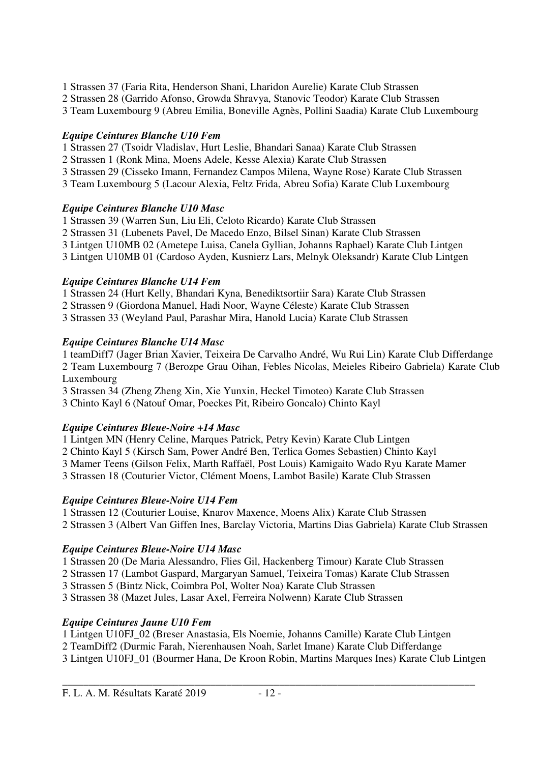- 1 Strassen 37 (Faria Rita, Henderson Shani, Lharidon Aurelie) Karate Club Strassen
- 2 Strassen 28 (Garrido Afonso, Growda Shravya, Stanovic Teodor) Karate Club Strassen
- 3 Team Luxembourg 9 (Abreu Emilia, Boneville Agnès, Pollini Saadia) Karate Club Luxembourg

### *Equipe Ceintures Blanche U10 Fem*

- 1 Strassen 27 (Tsoidr Vladislav, Hurt Leslie, Bhandari Sanaa) Karate Club Strassen
- 2 Strassen 1 (Ronk Mina, Moens Adele, Kesse Alexia) Karate Club Strassen
- 3 Strassen 29 (Cisseko Imann, Fernandez Campos Milena, Wayne Rose) Karate Club Strassen
- 3 Team Luxembourg 5 (Lacour Alexia, Feltz Frida, Abreu Sofia) Karate Club Luxembourg

### *Equipe Ceintures Blanche U10 Masc*

- 1 Strassen 39 (Warren Sun, Liu Eli, Celoto Ricardo) Karate Club Strassen
- 2 Strassen 31 (Lubenets Pavel, De Macedo Enzo, Bilsel Sinan) Karate Club Strassen
- 3 Lintgen U10MB 02 (Ametepe Luisa, Canela Gyllian, Johanns Raphael) Karate Club Lintgen
- 3 Lintgen U10MB 01 (Cardoso Ayden, Kusnierz Lars, Melnyk Oleksandr) Karate Club Lintgen

### *Equipe Ceintures Blanche U14 Fem*

1 Strassen 24 (Hurt Kelly, Bhandari Kyna, Benediktsortiir Sara) Karate Club Strassen

- 2 Strassen 9 (Giordona Manuel, Hadi Noor, Wayne Céleste) Karate Club Strassen
- 3 Strassen 33 (Weyland Paul, Parashar Mira, Hanold Lucia) Karate Club Strassen

### *Equipe Ceintures Blanche U14 Masc*

1 teamDiff7 (Jager Brian Xavier, Teixeira De Carvalho André, Wu Rui Lin) Karate Club Differdange 2 Team Luxembourg 7 (Berozpe Grau Oihan, Febles Nicolas, Meieles Ribeiro Gabriela) Karate Club Luxembourg

- 3 Strassen 34 (Zheng Zheng Xin, Xie Yunxin, Heckel Timoteo) Karate Club Strassen
- 3 Chinto Kayl 6 (Natouf Omar, Poeckes Pit, Ribeiro Goncalo) Chinto Kayl

### *Equipe Ceintures Bleue-Noire +14 Masc*

1 Lintgen MN (Henry Celine, Marques Patrick, Petry Kevin) Karate Club Lintgen

2 Chinto Kayl 5 (Kirsch Sam, Power André Ben, Terlica Gomes Sebastien) Chinto Kayl

3 Mamer Teens (Gilson Felix, Marth Raffaël, Post Louis) Kamigaito Wado Ryu Karate Mamer

3 Strassen 18 (Couturier Victor, Clément Moens, Lambot Basile) Karate Club Strassen

### *Equipe Ceintures Bleue-Noire U14 Fem*

1 Strassen 12 (Couturier Louise, Knarov Maxence, Moens Alix) Karate Club Strassen 2 Strassen 3 (Albert Van Giffen Ines, Barclay Victoria, Martins Dias Gabriela) Karate Club Strassen

### *Equipe Ceintures Bleue-Noire U14 Masc*

1 Strassen 20 (De Maria Alessandro, Flies Gil, Hackenberg Timour) Karate Club Strassen

2 Strassen 17 (Lambot Gaspard, Margaryan Samuel, Teixeira Tomas) Karate Club Strassen

3 Strassen 5 (Bintz Nick, Coimbra Pol, Wolter Noa) Karate Club Strassen

3 Strassen 38 (Mazet Jules, Lasar Axel, Ferreira Nolwenn) Karate Club Strassen

### *Equipe Ceintures Jaune U10 Fem*

1 Lintgen U10FJ\_02 (Breser Anastasia, Els Noemie, Johanns Camille) Karate Club Lintgen

2 TeamDiff2 (Durmic Farah, Nierenhausen Noah, Sarlet Imane) Karate Club Differdange

3 Lintgen U10FJ\_01 (Bourmer Hana, De Kroon Robin, Martins Marques Ines) Karate Club Lintgen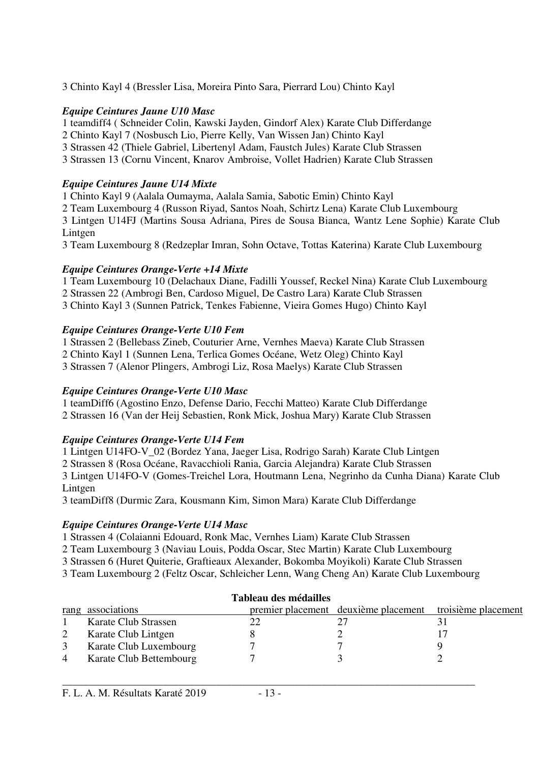3 Chinto Kayl 4 (Bressler Lisa, Moreira Pinto Sara, Pierrard Lou) Chinto Kayl

### *Equipe Ceintures Jaune U10 Masc*

1 teamdiff4 ( Schneider Colin, Kawski Jayden, Gindorf Alex) Karate Club Differdange

2 Chinto Kayl 7 (Nosbusch Lio, Pierre Kelly, Van Wissen Jan) Chinto Kayl

3 Strassen 42 (Thiele Gabriel, Libertenyl Adam, Faustch Jules) Karate Club Strassen

3 Strassen 13 (Cornu Vincent, Knarov Ambroise, Vollet Hadrien) Karate Club Strassen

### *Equipe Ceintures Jaune U14 Mixte*

1 Chinto Kayl 9 (Aalala Oumayma, Aalala Samia, Sabotic Emin) Chinto Kayl 2 Team Luxembourg 4 (Russon Riyad, Santos Noah, Schirtz Lena) Karate Club Luxembourg 3 Lintgen U14FJ (Martins Sousa Adriana, Pires de Sousa Bianca, Wantz Lene Sophie) Karate Club Lintgen

3 Team Luxembourg 8 (Redzeplar Imran, Sohn Octave, Tottas Katerina) Karate Club Luxembourg

### *Equipe Ceintures Orange-Verte +14 Mixte*

1 Team Luxembourg 10 (Delachaux Diane, Fadilli Youssef, Reckel Nina) Karate Club Luxembourg 2 Strassen 22 (Ambrogi Ben, Cardoso Miguel, De Castro Lara) Karate Club Strassen

3 Chinto Kayl 3 (Sunnen Patrick, Tenkes Fabienne, Vieira Gomes Hugo) Chinto Kayl

### *Equipe Ceintures Orange-Verte U10 Fem*

1 Strassen 2 (Bellebass Zineb, Couturier Arne, Vernhes Maeva) Karate Club Strassen

2 Chinto Kayl 1 (Sunnen Lena, Terlica Gomes Océane, Wetz Oleg) Chinto Kayl

3 Strassen 7 (Alenor Plingers, Ambrogi Liz, Rosa Maelys) Karate Club Strassen

### *Equipe Ceintures Orange-Verte U10 Masc*

1 teamDiff6 (Agostino Enzo, Defense Dario, Fecchi Matteo) Karate Club Differdange 2 Strassen 16 (Van der Heij Sebastien, Ronk Mick, Joshua Mary) Karate Club Strassen

### *Equipe Ceintures Orange-Verte U14 Fem*

1 Lintgen U14FO-V\_02 (Bordez Yana, Jaeger Lisa, Rodrigo Sarah) Karate Club Lintgen

2 Strassen 8 (Rosa Océane, Ravacchioli Rania, Garcia Alejandra) Karate Club Strassen

3 Lintgen U14FO-V (Gomes-Treichel Lora, Houtmann Lena, Negrinho da Cunha Diana) Karate Club Lintgen

3 teamDiff8 (Durmic Zara, Kousmann Kim, Simon Mara) Karate Club Differdange

### *Equipe Ceintures Orange-Verte U14 Masc*

1 Strassen 4 (Colaianni Edouard, Ronk Mac, Vernhes Liam) Karate Club Strassen

2 Team Luxembourg 3 (Naviau Louis, Podda Oscar, Stec Martin) Karate Club Luxembourg

3 Strassen 6 (Huret Quiterie, Graftieaux Alexander, Bokomba Moyikoli) Karate Club Strassen

3 Team Luxembourg 2 (Feltz Oscar, Schleicher Lenn, Wang Cheng An) Karate Club Luxembourg

| Tableau des médailles |                         |  |                                      |                     |  |
|-----------------------|-------------------------|--|--------------------------------------|---------------------|--|
|                       | rang associations       |  | premier placement deuxième placement | troisième placement |  |
|                       | Karate Club Strassen    |  |                                      |                     |  |
|                       | Karate Club Lintgen     |  |                                      |                     |  |
|                       | Karate Club Luxembourg  |  |                                      |                     |  |
| $\overline{4}$        | Karate Club Bettembourg |  |                                      |                     |  |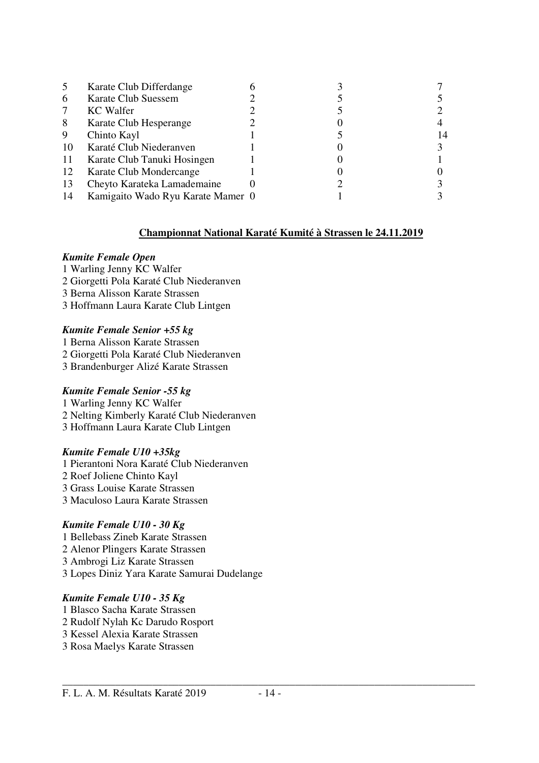|    | Karate Club Differdange           |  |  |
|----|-----------------------------------|--|--|
| 6  | Karate Club Suessem               |  |  |
| 7  | <b>KC</b> Walfer                  |  |  |
| 8  | Karate Club Hesperange            |  |  |
| 9  | Chinto Kayl                       |  |  |
| 10 | Karaté Club Niederanven           |  |  |
| 11 | Karate Club Tanuki Hosingen       |  |  |
| 12 | Karate Club Mondercange           |  |  |
| 13 | Cheyto Karateka Lamademaine       |  |  |
| 14 | Kamigaito Wado Ryu Karate Mamer 0 |  |  |

#### **Championnat National Karaté Kumité à Strassen le 24.11.2019**

#### *Kumite Female Open*

- 1 Warling Jenny KC Walfer
- 2 Giorgetti Pola Karaté Club Niederanven
- 3 Berna Alisson Karate Strassen
- 3 Hoffmann Laura Karate Club Lintgen

#### *Kumite Female Senior +55 kg*

- 1 Berna Alisson Karate Strassen
- 2 Giorgetti Pola Karaté Club Niederanven
- 3 Brandenburger Alizé Karate Strassen

#### *Kumite Female Senior -55 kg*

- 1 Warling Jenny KC Walfer
- 2 Nelting Kimberly Karaté Club Niederanven
- 3 Hoffmann Laura Karate Club Lintgen

#### *Kumite Female U10 +35kg*

- 1 Pierantoni Nora Karaté Club Niederanven 2 Roef Joliene Chinto Kayl 3 Grass Louise Karate Strassen
- 3 Maculoso Laura Karate Strassen

### *Kumite Female U10 - 30 Kg*

- 1 Bellebass Zineb Karate Strassen
- 2 Alenor Plingers Karate Strassen
- 3 Ambrogi Liz Karate Strassen
- 3 Lopes Diniz Yara Karate Samurai Dudelange

#### *Kumite Female U10 - 35 Kg*

- 1 Blasco Sacha Karate Strassen
- 2 Rudolf Nylah Kc Darudo Rosport
- 3 Kessel Alexia Karate Strassen
- 3 Rosa Maelys Karate Strassen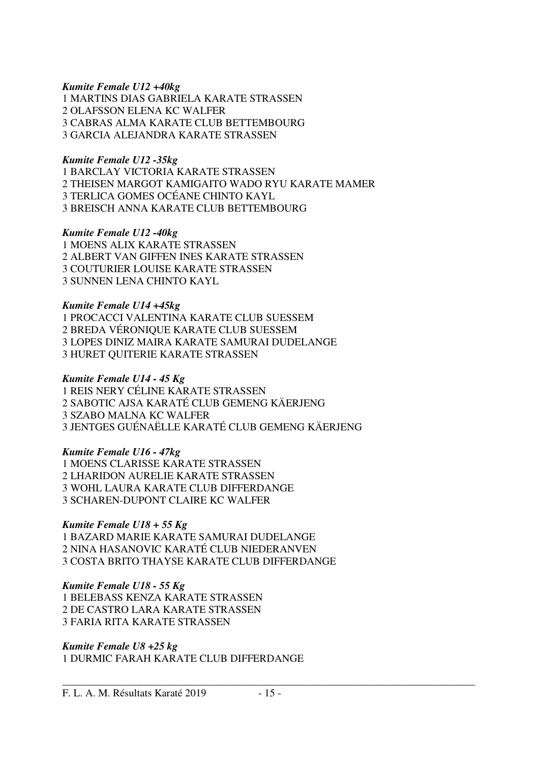#### *Kumite Female U12 +40kg*

1 MARTINS DIAS GABRIELA KARATE STRASSEN 2 OLAFSSON ELENA KC WALFER 3 CABRAS ALMA KARATE CLUB BETTEMBOURG 3 GARCIA ALEJANDRA KARATE STRASSEN

#### *Kumite Female U12 -35kg*

1 BARCLAY VICTORIA KARATE STRASSEN 2 THEISEN MARGOT KAMIGAITO WADO RYU KARATE MAMER 3 TERLICA GOMES OCÉANE CHINTO KAYL 3 BREISCH ANNA KARATE CLUB BETTEMBOURG

#### *Kumite Female U12 -40kg*

1 MOENS ALIX KARATE STRASSEN 2 ALBERT VAN GIFFEN INES KARATE STRASSEN 3 COUTURIER LOUISE KARATE STRASSEN 3 SUNNEN LENA CHINTO KAYL

#### *Kumite Female U14 +45kg*

1 PROCACCI VALENTINA KARATE CLUB SUESSEM 2 BREDA VÉRONIQUE KARATE CLUB SUESSEM 3 LOPES DINIZ MAIRA KARATE SAMURAI DUDELANGE 3 HURET QUITERIE KARATE STRASSEN

#### *Kumite Female U14 - 45 Kg*

1 REIS NERY CÉLINE KARATE STRASSEN 2 SABOTIC AJSA KARATÉ CLUB GEMENG KÄERJENG 3 SZABO MALNA KC WALFER 3 JENTGES GUÉNAËLLE KARATÉ CLUB GEMENG KÄERJENG

#### *Kumite Female U16 - 47kg*

1 MOENS CLARISSE KARATE STRASSEN 2 LHARIDON AURELIE KARATE STRASSEN 3 WOHL LAURA KARATE CLUB DIFFERDANGE 3 SCHAREN-DUPONT CLAIRE KC WALFER

#### *Kumite Female U18 + 55 Kg*

1 BAZARD MARIE KARATE SAMURAI DUDELANGE 2 NINA HASANOVIC KARATÉ CLUB NIEDERANVEN 3 COSTA BRITO THAYSE KARATE CLUB DIFFERDANGE

#### *Kumite Female U18 - 55 Kg*

1 BELEBASS KENZA KARATE STRASSEN 2 DE CASTRO LARA KARATE STRASSEN 3 FARIA RITA KARATE STRASSEN

#### *Kumite Female U8 +25 kg*

1 DURMIC FARAH KARATE CLUB DIFFERDANGE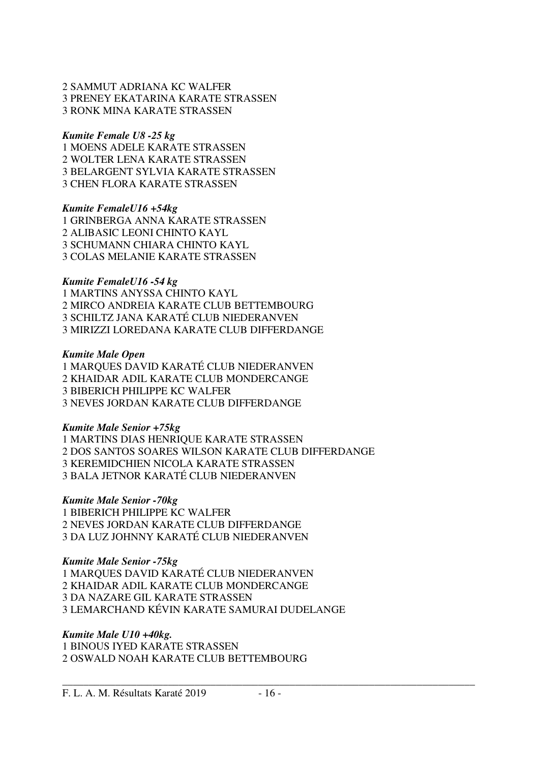#### 2 SAMMUT ADRIANA KC WALFER 3 PRENEY EKATARINA KARATE STRASSEN 3 RONK MINA KARATE STRASSEN

#### *Kumite Female U8 -25 kg*

1 MOENS ADELE KARATE STRASSEN 2 WOLTER LENA KARATE STRASSEN 3 BELARGENT SYLVIA KARATE STRASSEN 3 CHEN FLORA KARATE STRASSEN

#### *Kumite FemaleU16 +54kg*

1 GRINBERGA ANNA KARATE STRASSEN 2 ALIBASIC LEONI CHINTO KAYL 3 SCHUMANN CHIARA CHINTO KAYL 3 COLAS MELANIE KARATE STRASSEN

#### *Kumite FemaleU16 -54 kg*

1 MARTINS ANYSSA CHINTO KAYL 2 MIRCO ANDREIA KARATE CLUB BETTEMBOURG 3 SCHILTZ JANA KARATÉ CLUB NIEDERANVEN 3 MIRIZZI LOREDANA KARATE CLUB DIFFERDANGE

#### *Kumite Male Open*

1 MARQUES DAVID KARATÉ CLUB NIEDERANVEN 2 KHAIDAR ADIL KARATE CLUB MONDERCANGE 3 BIBERICH PHILIPPE KC WALFER 3 NEVES JORDAN KARATE CLUB DIFFERDANGE

#### *Kumite Male Senior +75kg*

1 MARTINS DIAS HENRIQUE KARATE STRASSEN 2 DOS SANTOS SOARES WILSON KARATE CLUB DIFFERDANGE 3 KEREMIDCHIEN NICOLA KARATE STRASSEN 3 BALA JETNOR KARATÉ CLUB NIEDERANVEN

#### *Kumite Male Senior -70kg*

1 BIBERICH PHILIPPE KC WALFER 2 NEVES JORDAN KARATE CLUB DIFFERDANGE 3 DA LUZ JOHNNY KARATÉ CLUB NIEDERANVEN

#### *Kumite Male Senior -75kg*

1 MARQUES DAVID KARATÉ CLUB NIEDERANVEN 2 KHAIDAR ADIL KARATE CLUB MONDERCANGE 3 DA NAZARE GIL KARATE STRASSEN 3 LEMARCHAND KÉVIN KARATE SAMURAI DUDELANGE

#### *Kumite Male U10 +40kg.*

1 BINOUS IYED KARATE STRASSEN 2 OSWALD NOAH KARATE CLUB BETTEMBOURG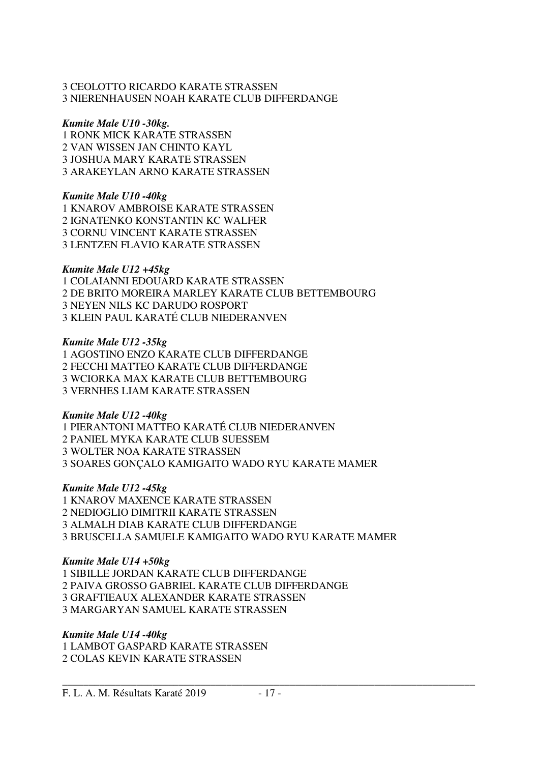#### 3 CEOLOTTO RICARDO KARATE STRASSEN 3 NIERENHAUSEN NOAH KARATE CLUB DIFFERDANGE

#### *Kumite Male U10 -30kg.*

1 RONK MICK KARATE STRASSEN 2 VAN WISSEN JAN CHINTO KAYL 3 JOSHUA MARY KARATE STRASSEN 3 ARAKEYLAN ARNO KARATE STRASSEN

#### *Kumite Male U10 -40kg*

1 KNAROV AMBROISE KARATE STRASSEN 2 IGNATENKO KONSTANTIN KC WALFER 3 CORNU VINCENT KARATE STRASSEN 3 LENTZEN FLAVIO KARATE STRASSEN

#### *Kumite Male U12 +45kg*

1 COLAIANNI EDOUARD KARATE STRASSEN 2 DE BRITO MOREIRA MARLEY KARATE CLUB BETTEMBOURG 3 NEYEN NILS KC DARUDO ROSPORT 3 KLEIN PAUL KARATÉ CLUB NIEDERANVEN

#### *Kumite Male U12 -35kg*

1 AGOSTINO ENZO KARATE CLUB DIFFERDANGE 2 FECCHI MATTEO KARATE CLUB DIFFERDANGE 3 WCIORKA MAX KARATE CLUB BETTEMBOURG 3 VERNHES LIAM KARATE STRASSEN

#### *Kumite Male U12 -40kg*

1 PIERANTONI MATTEO KARATÉ CLUB NIEDERANVEN 2 PANIEL MYKA KARATE CLUB SUESSEM 3 WOLTER NOA KARATE STRASSEN 3 SOARES GONÇALO KAMIGAITO WADO RYU KARATE MAMER

#### *Kumite Male U12 -45kg*

1 KNAROV MAXENCE KARATE STRASSEN 2 NEDIOGLIO DIMITRII KARATE STRASSEN 3 ALMALH DIAB KARATE CLUB DIFFERDANGE 3 BRUSCELLA SAMUELE KAMIGAITO WADO RYU KARATE MAMER

#### *Kumite Male U14 +50kg*

1 SIBILLE JORDAN KARATE CLUB DIFFERDANGE 2 PAIVA GROSSO GABRIEL KARATE CLUB DIFFERDANGE 3 GRAFTIEAUX ALEXANDER KARATE STRASSEN 3 MARGARYAN SAMUEL KARATE STRASSEN

#### *Kumite Male U14 -40kg*

1 LAMBOT GASPARD KARATE STRASSEN 2 COLAS KEVIN KARATE STRASSEN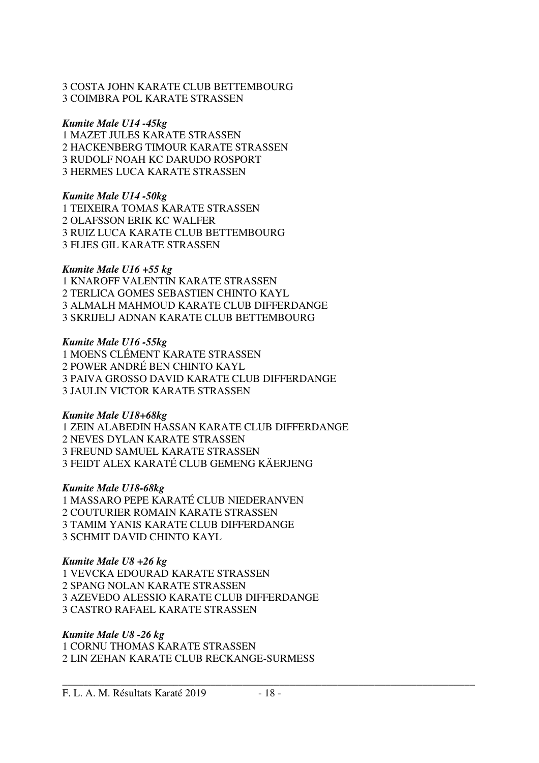#### 3 COSTA JOHN KARATE CLUB BETTEMBOURG 3 COIMBRA POL KARATE STRASSEN

#### *Kumite Male U14 -45kg*

1 MAZET JULES KARATE STRASSEN 2 HACKENBERG TIMOUR KARATE STRASSEN 3 RUDOLF NOAH KC DARUDO ROSPORT 3 HERMES LUCA KARATE STRASSEN

#### *Kumite Male U14 -50kg*

1 TEIXEIRA TOMAS KARATE STRASSEN 2 OLAFSSON ERIK KC WALFER 3 RUIZ LUCA KARATE CLUB BETTEMBOURG 3 FLIES GIL KARATE STRASSEN

#### *Kumite Male U16 +55 kg*

1 KNAROFF VALENTIN KARATE STRASSEN 2 TERLICA GOMES SEBASTIEN CHINTO KAYL 3 ALMALH MAHMOUD KARATE CLUB DIFFERDANGE 3 SKRIJELJ ADNAN KARATE CLUB BETTEMBOURG

#### *Kumite Male U16 -55kg*

1 MOENS CLÉMENT KARATE STRASSEN 2 POWER ANDRÉ BEN CHINTO KAYL 3 PAIVA GROSSO DAVID KARATE CLUB DIFFERDANGE 3 JAULIN VICTOR KARATE STRASSEN

#### *Kumite Male U18+68kg*

1 ZEIN ALABEDIN HASSAN KARATE CLUB DIFFERDANGE 2 NEVES DYLAN KARATE STRASSEN 3 FREUND SAMUEL KARATE STRASSEN 3 FEIDT ALEX KARATÉ CLUB GEMENG KÄERJENG

#### *Kumite Male U18-68kg*

1 MASSARO PEPE KARATÉ CLUB NIEDERANVEN 2 COUTURIER ROMAIN KARATE STRASSEN 3 TAMIM YANIS KARATE CLUB DIFFERDANGE 3 SCHMIT DAVID CHINTO KAYL

#### *Kumite Male U8 +26 kg*

1 VEVCKA EDOURAD KARATE STRASSEN 2 SPANG NOLAN KARATE STRASSEN 3 AZEVEDO ALESSIO KARATE CLUB DIFFERDANGE 3 CASTRO RAFAEL KARATE STRASSEN

#### *Kumite Male U8 -26 kg*

1 CORNU THOMAS KARATE STRASSEN 2 LIN ZEHAN KARATE CLUB RECKANGE-SURMESS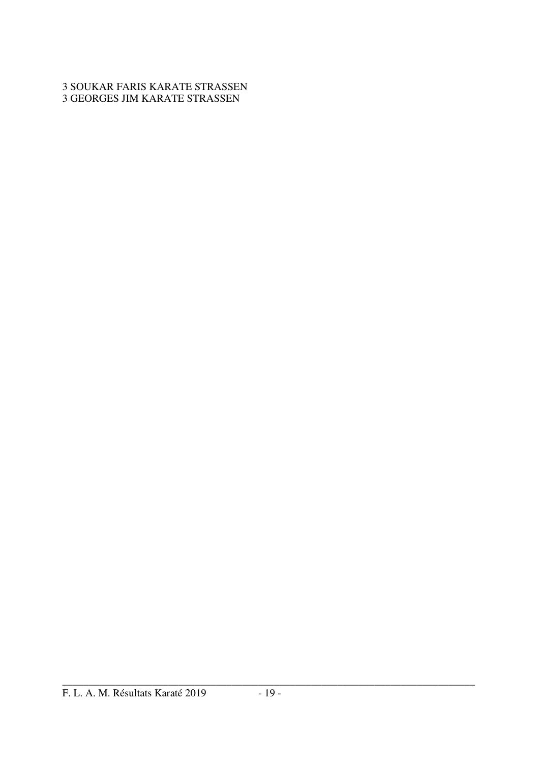### 3 SOUKAR FARIS KARATE STRASSEN 3 GEORGES JIM KARATE STRASSEN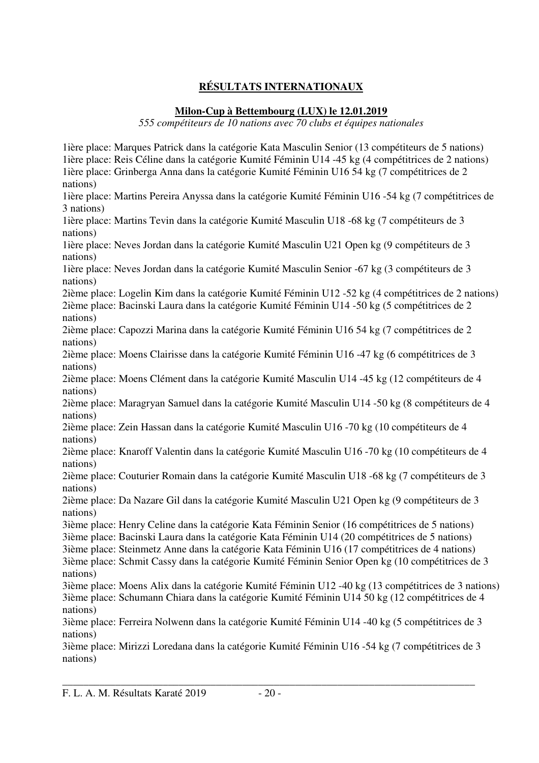## **RÉSULTATS INTERNATIONAUX**

### **Milon-Cup à Bettembourg (LUX) le 12.01.2019**

*555 compétiteurs de 10 nations avec 70 clubs et équipes nationales* 

1ière place: Marques Patrick dans la catégorie Kata Masculin Senior (13 compétiteurs de 5 nations) 1ière place: Reis Céline dans la catégorie Kumité Féminin U14 -45 kg (4 compétitrices de 2 nations) 1ière place: Grinberga Anna dans la catégorie Kumité Féminin U16 54 kg (7 compétitrices de 2 nations) 1ière place: Martins Pereira Anyssa dans la catégorie Kumité Féminin U16 -54 kg (7 compétitrices de 3 nations) 1ière place: Martins Tevin dans la catégorie Kumité Masculin U18 -68 kg (7 compétiteurs de 3 nations) 1ière place: Neves Jordan dans la catégorie Kumité Masculin U21 Open kg (9 compétiteurs de 3 nations) 1ière place: Neves Jordan dans la catégorie Kumité Masculin Senior -67 kg (3 compétiteurs de 3 nations) 2ième place: Logelin Kim dans la catégorie Kumité Féminin U12 -52 kg (4 compétitrices de 2 nations) 2ième place: Bacinski Laura dans la catégorie Kumité Féminin U14 -50 kg (5 compétitrices de 2 nations) 2ième place: Capozzi Marina dans la catégorie Kumité Féminin U16 54 kg (7 compétitrices de 2 nations) 2ième place: Moens Clairisse dans la catégorie Kumité Féminin U16 -47 kg (6 compétitrices de 3 nations) 2ième place: Moens Clément dans la catégorie Kumité Masculin U14 -45 kg (12 compétiteurs de 4 nations) 2ième place: Maragryan Samuel dans la catégorie Kumité Masculin U14 -50 kg (8 compétiteurs de 4 nations) 2ième place: Zein Hassan dans la catégorie Kumité Masculin U16 -70 kg (10 compétiteurs de 4 nations) 2ième place: Knaroff Valentin dans la catégorie Kumité Masculin U16 -70 kg (10 compétiteurs de 4 nations) 2ième place: Couturier Romain dans la catégorie Kumité Masculin U18 -68 kg (7 compétiteurs de 3 nations) 2ième place: Da Nazare Gil dans la catégorie Kumité Masculin U21 Open kg (9 compétiteurs de 3 nations) 3ième place: Henry Celine dans la catégorie Kata Féminin Senior (16 compétitrices de 5 nations) 3ième place: Bacinski Laura dans la catégorie Kata Féminin U14 (20 compétitrices de 5 nations) 3ième place: Steinmetz Anne dans la catégorie Kata Féminin U16 (17 compétitrices de 4 nations) 3ième place: Schmit Cassy dans la catégorie Kumité Féminin Senior Open kg (10 compétitrices de 3 nations) 3ième place: Moens Alix dans la catégorie Kumité Féminin U12 -40 kg (13 compétitrices de 3 nations) 3ième place: Schumann Chiara dans la catégorie Kumité Féminin U14 50 kg (12 compétitrices de 4 nations) 3ième place: Ferreira Nolwenn dans la catégorie Kumité Féminin U14 -40 kg (5 compétitrices de 3 nations) 3ième place: Mirizzi Loredana dans la catégorie Kumité Féminin U16 -54 kg (7 compétitrices de 3 nations)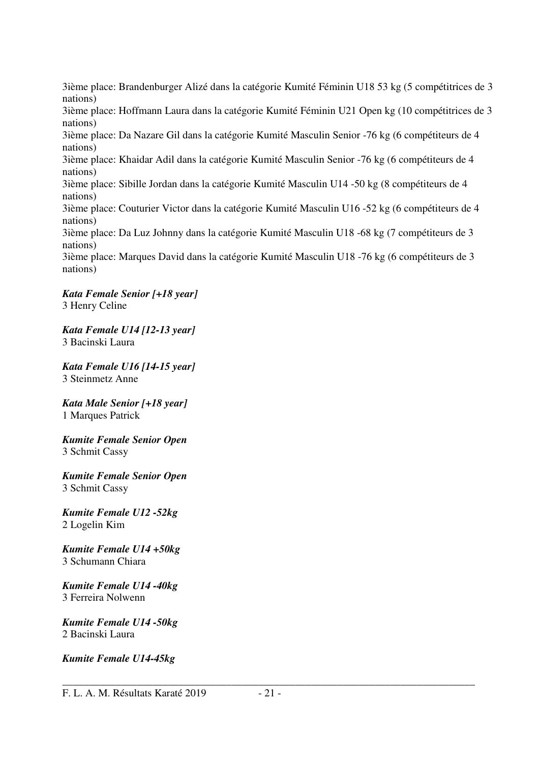3ième place: Brandenburger Alizé dans la catégorie Kumité Féminin U18 53 kg (5 compétitrices de 3 nations) 3ième place: Hoffmann Laura dans la catégorie Kumité Féminin U21 Open kg (10 compétitrices de 3 nations) 3ième place: Da Nazare Gil dans la catégorie Kumité Masculin Senior -76 kg (6 compétiteurs de 4 nations) 3ième place: Khaidar Adil dans la catégorie Kumité Masculin Senior -76 kg (6 compétiteurs de 4 nations) 3ième place: Sibille Jordan dans la catégorie Kumité Masculin U14 -50 kg (8 compétiteurs de 4 nations) 3ième place: Couturier Victor dans la catégorie Kumité Masculin U16 -52 kg (6 compétiteurs de 4 nations) 3ième place: Da Luz Johnny dans la catégorie Kumité Masculin U18 -68 kg (7 compétiteurs de 3 nations) 3ième place: Marques David dans la catégorie Kumité Masculin U18 -76 kg (6 compétiteurs de 3 nations)

#### *Kata Female Senior [+18 year]*  3 Henry Celine

*Kata Female U14 [12-13 year]*  3 Bacinski Laura

*Kata Female U16 [14-15 year]*  3 Steinmetz Anne

*Kata Male Senior [+18 year]*  1 Marques Patrick

*Kumite Female Senior Open*  3 Schmit Cassy

*Kumite Female Senior Open*  3 Schmit Cassy

*Kumite Female U12 -52kg*  2 Logelin Kim

*Kumite Female U14 +50kg*  3 Schumann Chiara

*Kumite Female U14 -40kg*  3 Ferreira Nolwenn

*Kumite Female U14 -50kg*  2 Bacinski Laura

*Kumite Female U14-45kg*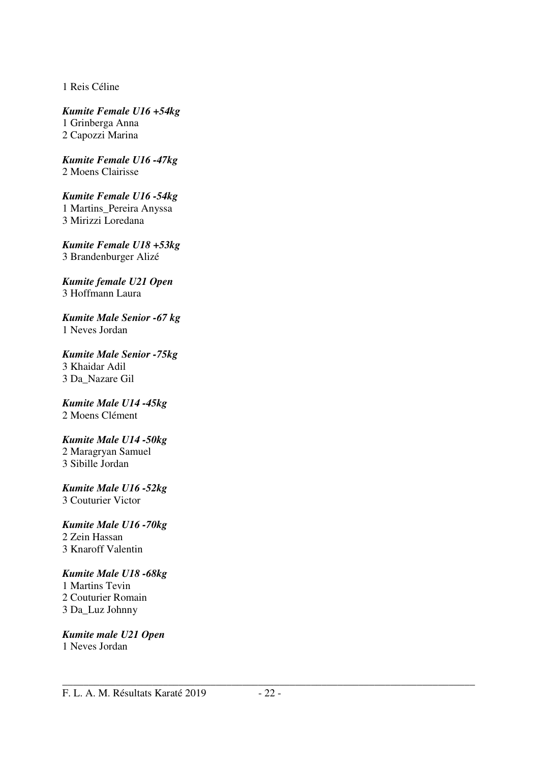1 Reis Céline

*Kumite Female U16 +54kg*  1 Grinberga Anna 2 Capozzi Marina

*Kumite Female U16 -47kg*  2 Moens Clairisse

*Kumite Female U16 -54kg*  1 Martins\_Pereira Anyssa 3 Mirizzi Loredana

*Kumite Female U18 +53kg*  3 Brandenburger Alizé

*Kumite female U21 Open*  3 Hoffmann Laura

*Kumite Male Senior -67 kg*  1 Neves Jordan

*Kumite Male Senior -75kg*  3 Khaidar Adil 3 Da\_Nazare Gil

*Kumite Male U14 -45kg*  2 Moens Clément

*Kumite Male U14 -50kg* 

2 Maragryan Samuel 3 Sibille Jordan

*Kumite Male U16 -52kg*  3 Couturier Victor

*Kumite Male U16 -70kg*  2 Zein Hassan

3 Knaroff Valentin

### *Kumite Male U18 -68kg*

1 Martins Tevin 2 Couturier Romain 3 Da\_Luz Johnny

*Kumite male U21 Open*  1 Neves Jordan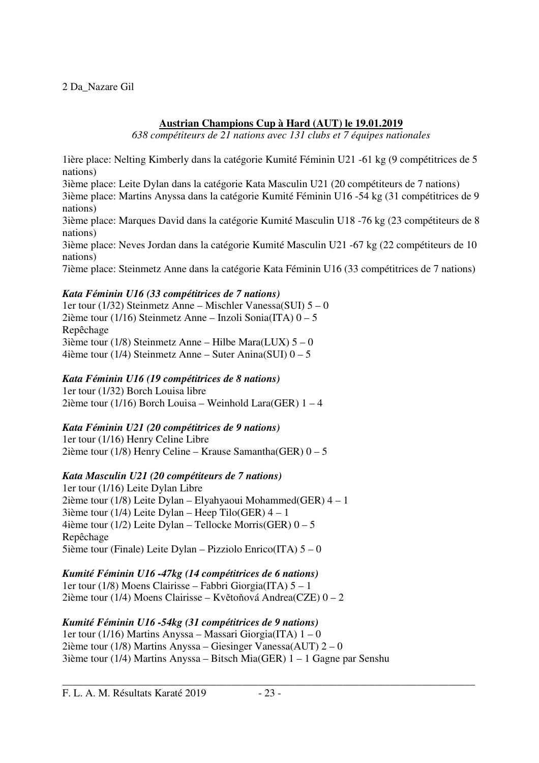2 Da\_Nazare Gil

### **Austrian Champions Cup à Hard (AUT) le 19.01.2019**

*638 compétiteurs de 21 nations avec 131 clubs et 7 équipes nationales* 

1ière place: Nelting Kimberly dans la catégorie Kumité Féminin U21 -61 kg (9 compétitrices de 5 nations)

3ième place: Leite Dylan dans la catégorie Kata Masculin U21 (20 compétiteurs de 7 nations)

3ième place: Martins Anyssa dans la catégorie Kumité Féminin U16 -54 kg (31 compétitrices de 9 nations)

3ième place: Marques David dans la catégorie Kumité Masculin U18 -76 kg (23 compétiteurs de 8 nations)

3ième place: Neves Jordan dans la catégorie Kumité Masculin U21 -67 kg (22 compétiteurs de 10 nations)

7ième place: Steinmetz Anne dans la catégorie Kata Féminin U16 (33 compétitrices de 7 nations)

### *Kata Féminin U16 (33 compétitrices de 7 nations)*

1er tour (1/32) Steinmetz Anne – Mischler Vanessa(SUI) 5 – 0 2ième tour (1/16) Steinmetz Anne – Inzoli Sonia(ITA)  $0 - 5$ Repêchage 3ième tour (1/8) Steinmetz Anne – Hilbe Mara(LUX)  $5 - 0$ 4ième tour (1/4) Steinmetz Anne – Suter Anina(SUI) 0 – 5

### *Kata Féminin U16 (19 compétitrices de 8 nations)*

1er tour (1/32) Borch Louisa libre 2ième tour (1/16) Borch Louisa – Weinhold Lara(GER) 1 – 4

### *Kata Féminin U21 (20 compétitrices de 9 nations)*

1er tour (1/16) Henry Celine Libre 2ième tour (1/8) Henry Celine – Krause Samantha(GER)  $0 - 5$ 

### *Kata Masculin U21 (20 compétiteurs de 7 nations)*

1er tour (1/16) Leite Dylan Libre 2ième tour (1/8) Leite Dylan – Elyahyaoui Mohammed(GER) 4 – 1 3ième tour (1/4) Leite Dylan – Heep Tilo(GER)  $4 - 1$ 4ième tour (1/2) Leite Dylan – Tellocke Morris(GER) 0 – 5 Repêchage 5ième tour (Finale) Leite Dylan – Pizziolo Enrico(ITA) 5 – 0

### *Kumité Féminin U16 -47kg (14 compétitrices de 6 nations)*

1er tour (1/8) Moens Clairisse – Fabbri Giorgia(ITA) 5 – 1 2ième tour (1/4) Moens Clairisse – Květoňová Andrea(CZE) 0 – 2

### *Kumité Féminin U16 -54kg (31 compétitrices de 9 nations)*

1er tour (1/16) Martins Anyssa – Massari Giorgia(ITA) 1 – 0 2ième tour (1/8) Martins Anyssa – Giesinger Vanessa(AUT) 2 – 0 3ième tour (1/4) Martins Anyssa – Bitsch Mia(GER) 1 – 1 Gagne par Senshu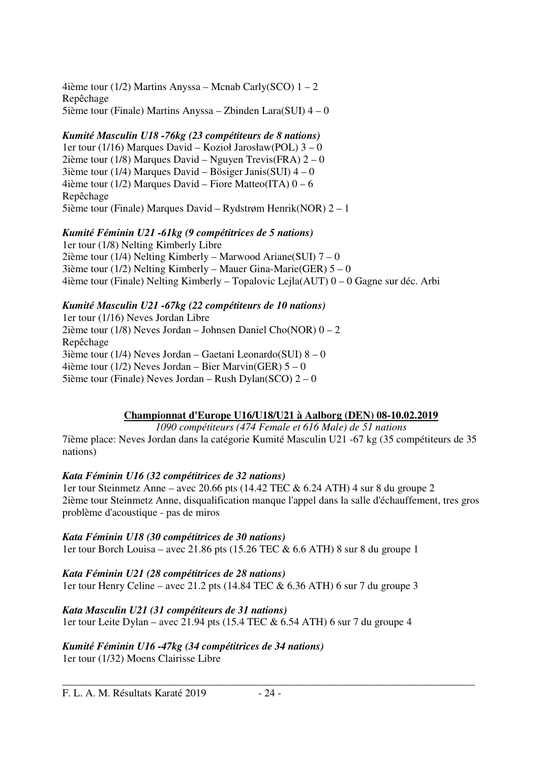4ième tour (1/2) Martins Anyssa – Mcnab Carly(SCO) 1 – 2 Repêchage 5ième tour (Finale) Martins Anyssa – Zbinden Lara(SUI) 4 – 0

### *Kumité Masculin U18 -76kg (23 compétiteurs de 8 nations)*

1er tour (1/16) Marques David – Kozioł Jarosław(POL) 3 – 0 2ième tour (1/8) Marques David – Nguyen Trevis(FRA)  $2-0$ 3ième tour (1/4) Marques David – Bösiger Janis(SUI) 4 – 0 4ième tour (1/2) Marques David – Fiore Matteo(ITA)  $0 - 6$ Repêchage 5ième tour (Finale) Marques David – Rydstrøm Henrik(NOR) 2 – 1

### *Kumité Féminin U21 -61kg (9 compétitrices de 5 nations)*

1er tour (1/8) Nelting Kimberly Libre 2ième tour (1/4) Nelting Kimberly – Marwood Ariane(SUI)  $7 - 0$ 3ième tour (1/2) Nelting Kimberly – Mauer Gina-Marie(GER)  $5 - 0$ 4ième tour (Finale) Nelting Kimberly – Topalovic Lejla(AUT) 0 – 0 Gagne sur déc. Arbi

### *Kumité Masculin U21 -67kg (22 compétiteurs de 10 nations)*

1er tour (1/16) Neves Jordan Libre 2ième tour (1/8) Neves Jordan – Johnsen Daniel Cho(NOR)  $0 - 2$ Repêchage 3ième tour (1/4) Neves Jordan – Gaetani Leonardo(SUI) 8 – 0 4ième tour (1/2) Neves Jordan – Bier Marvin(GER)  $5 - 0$ 5ième tour (Finale) Neves Jordan – Rush Dylan(SCO) 2 – 0

### **Championnat d'Europe U16/U18/U21 à Aalborg (DEN) 08-10.02.2019**

*1090 compétiteurs (474 Female et 616 Male) de 51 nations*  7ième place: Neves Jordan dans la catégorie Kumité Masculin U21 -67 kg (35 compétiteurs de 35

#### *Kata Féminin U16 (32 compétitrices de 32 nations)*

nations)

1er tour Steinmetz Anne – avec 20.66 pts (14.42 TEC & 6.24 ATH) 4 sur 8 du groupe 2 2ième tour Steinmetz Anne, disqualification manque l'appel dans la salle d'échauffement, tres gros problème d'acoustique - pas de miros

\_\_\_\_\_\_\_\_\_\_\_\_\_\_\_\_\_\_\_\_\_\_\_\_\_\_\_\_\_\_\_\_\_\_\_\_\_\_\_\_\_\_\_\_\_\_\_\_\_\_\_\_\_\_\_\_\_\_\_\_\_\_\_\_\_\_\_\_\_\_\_\_\_\_\_\_\_\_

*Kata Féminin U18 (30 compétitrices de 30 nations)*  1er tour Borch Louisa – avec 21.86 pts (15.26 TEC & 6.6 ATH) 8 sur 8 du groupe 1

*Kata Féminin U21 (28 compétitrices de 28 nations)*  1er tour Henry Celine – avec 21.2 pts (14.84 TEC & 6.36 ATH) 6 sur 7 du groupe 3

*Kata Masculin U21 (31 compétiteurs de 31 nations)*  1er tour Leite Dylan – avec 21.94 pts (15.4 TEC & 6.54 ATH) 6 sur 7 du groupe 4

### *Kumité Féminin U16 -47kg (34 compétitrices de 34 nations)*

1er tour (1/32) Moens Clairisse Libre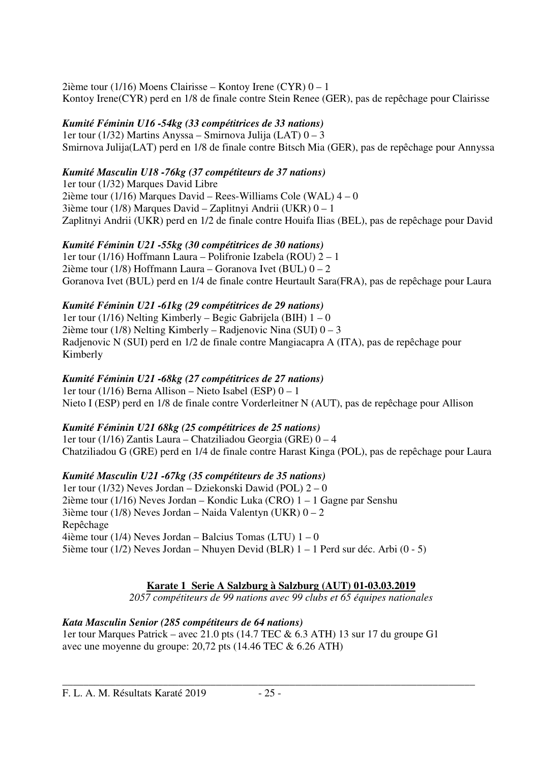2ième tour (1/16) Moens Clairisse – Kontoy Irene (CYR) 0 – 1 Kontoy Irene(CYR) perd en 1/8 de finale contre Stein Renee (GER), pas de repêchage pour Clairisse

### *Kumité Féminin U16 -54kg (33 compétitrices de 33 nations)*

1er tour (1/32) Martins Anyssa – Smirnova Julija (LAT) 0 – 3 Smirnova Julija(LAT) perd en 1/8 de finale contre Bitsch Mia (GER), pas de repêchage pour Annyssa

### *Kumité Masculin U18 -76kg (37 compétiteurs de 37 nations)*

1er tour (1/32) Marques David Libre 2ième tour (1/16) Marques David – Rees-Williams Cole (WAL) 4 – 0 3ième tour (1/8) Marques David – Zaplitnyi Andrii (UKR) 0 – 1 Zaplitnyi Andrii (UKR) perd en 1/2 de finale contre Houifa Ilias (BEL), pas de repêchage pour David

### *Kumité Féminin U21 -55kg (30 compétitrices de 30 nations)*

1er tour (1/16) Hoffmann Laura – Polifronie Izabela (ROU) 2 – 1 2ième tour (1/8) Hoffmann Laura – Goranova Ivet (BUL)  $0 - 2$ Goranova Ivet (BUL) perd en 1/4 de finale contre Heurtault Sara(FRA), pas de repêchage pour Laura

### *Kumité Féminin U21 -61kg (29 compétitrices de 29 nations)*

1er tour (1/16) Nelting Kimberly – Begic Gabrijela (BIH) 1 – 0 2ième tour (1/8) Nelting Kimberly – Radjenovic Nina (SUI) 0 – 3 Radjenovic N (SUI) perd en 1/2 de finale contre Mangiacapra A (ITA), pas de repêchage pour Kimberly

### *Kumité Féminin U21 -68kg (27 compétitrices de 27 nations)*

1er tour (1/16) Berna Allison – Nieto Isabel (ESP) 0 – 1 Nieto I (ESP) perd en 1/8 de finale contre Vorderleitner N (AUT), pas de repêchage pour Allison

### *Kumité Féminin U21 68kg (25 compétitrices de 25 nations)*

1er tour (1/16) Zantis Laura – Chatziliadou Georgia (GRE) 0 – 4 Chatziliadou G (GRE) perd en 1/4 de finale contre Harast Kinga (POL), pas de repêchage pour Laura

### *Kumité Masculin U21 -67kg (35 compétiteurs de 35 nations)*

1er tour (1/32) Neves Jordan – Dziekonski Dawid (POL) 2 – 0 2ième tour (1/16) Neves Jordan – Kondic Luka (CRO) 1 – 1 Gagne par Senshu 3ième tour (1/8) Neves Jordan – Naida Valentyn (UKR)  $0 - 2$ Repêchage 4ième tour (1/4) Neves Jordan – Balcius Tomas (LTU)  $1 - 0$ 5ième tour (1/2) Neves Jordan – Nhuyen Devid (BLR) 1 – 1 Perd sur déc. Arbi (0 - 5)

### **Karate 1 Serie A Salzburg à Salzburg (AUT) 01-03.03.2019**

*2057 compétiteurs de 99 nations avec 99 clubs et 65 équipes nationales* 

### *Kata Masculin Senior (285 compétiteurs de 64 nations)*

1er tour Marques Patrick – avec 21.0 pts (14.7 TEC & 6.3 ATH) 13 sur 17 du groupe G1 avec une moyenne du groupe: 20,72 pts (14.46 TEC & 6.26 ATH)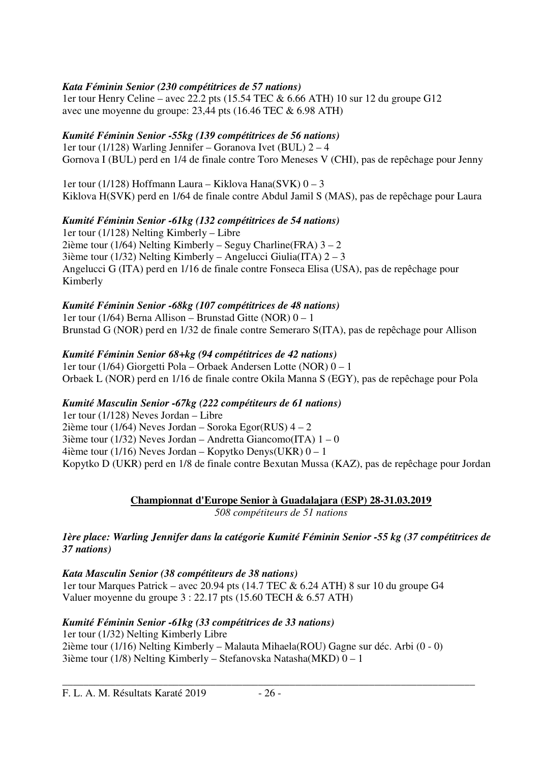### *Kata Féminin Senior (230 compétitrices de 57 nations)*

1er tour Henry Celine – avec  $22.2$  pts (15.54 TEC & 6.66 ATH) 10 sur 12 du groupe G12 avec une moyenne du groupe: 23,44 pts (16.46 TEC & 6.98 ATH)

### *Kumité Féminin Senior -55kg (139 compétitrices de 56 nations)*

1er tour (1/128) Warling Jennifer – Goranova Ivet (BUL) 2 – 4 Gornova I (BUL) perd en 1/4 de finale contre Toro Meneses V (CHI), pas de repêchage pour Jenny

1er tour (1/128) Hoffmann Laura – Kiklova Hana(SVK) 0 – 3 Kiklova H(SVK) perd en 1/64 de finale contre Abdul Jamil S (MAS), pas de repêchage pour Laura

### *Kumité Féminin Senior -61kg (132 compétitrices de 54 nations)*

1er tour (1/128) Nelting Kimberly – Libre 2ième tour (1/64) Nelting Kimberly – Seguy Charline(FRA)  $3 - 2$ 3ième tour (1/32) Nelting Kimberly – Angelucci Giulia(ITA) 2 – 3 Angelucci G (ITA) perd en 1/16 de finale contre Fonseca Elisa (USA), pas de repêchage pour Kimberly

### *Kumité Féminin Senior -68kg (107 compétitrices de 48 nations)*

1er tour (1/64) Berna Allison – Brunstad Gitte (NOR) 0 – 1 Brunstad G (NOR) perd en 1/32 de finale contre Semeraro S(ITA), pas de repêchage pour Allison

### *Kumité Féminin Senior 68+kg (94 compétitrices de 42 nations)*

1er tour (1/64) Giorgetti Pola – Orbaek Andersen Lotte (NOR) 0 – 1 Orbaek L (NOR) perd en 1/16 de finale contre Okila Manna S (EGY), pas de repêchage pour Pola

### *Kumité Masculin Senior -67kg (222 compétiteurs de 61 nations)*

1er tour (1/128) Neves Jordan – Libre 2ième tour (1/64) Neves Jordan – Soroka Egor(RUS)  $4 - 2$ 3ième tour (1/32) Neves Jordan – Andretta Giancomo(ITA)  $1 - 0$ 4ième tour (1/16) Neves Jordan – Kopytko Denys(UKR) 0 – 1 Kopytko D (UKR) perd en 1/8 de finale contre Bexutan Mussa (KAZ), pas de repêchage pour Jordan

#### **Championnat d'Europe Senior à Guadalajara (ESP) 28-31.03.2019**  *508 compétiteurs de 51 nations*

### *1ère place: Warling Jennifer dans la catégorie Kumité Féminin Senior -55 kg (37 compétitrices de 37 nations)*

### *Kata Masculin Senior (38 compétiteurs de 38 nations)*

1er tour Marques Patrick – avec 20.94 pts (14.7 TEC & 6.24 ATH) 8 sur 10 du groupe G4 Valuer moyenne du groupe 3 : 22.17 pts (15.60 TECH & 6.57 ATH)

### *Kumité Féminin Senior -61kg (33 compétitrices de 33 nations)*

1er tour (1/32) Nelting Kimberly Libre 2ième tour (1/16) Nelting Kimberly – Malauta Mihaela(ROU) Gagne sur déc. Arbi (0 - 0) 3ième tour (1/8) Nelting Kimberly – Stefanovska Natasha(MKD) 0 – 1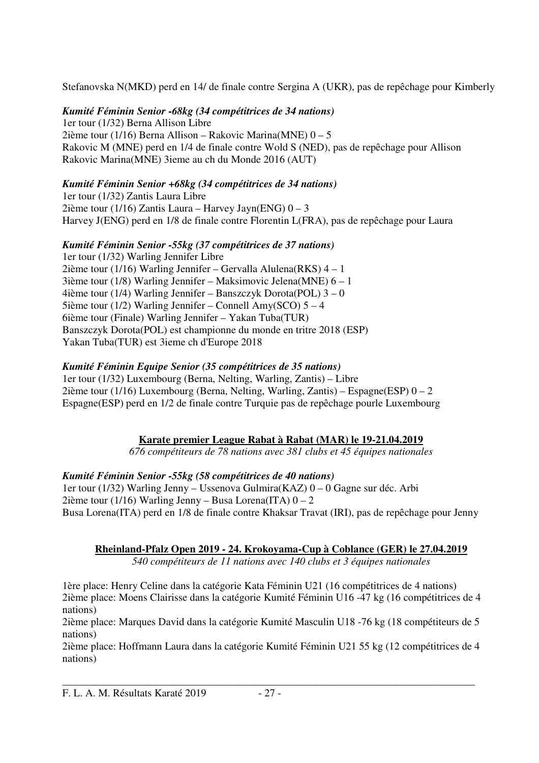Stefanovska N(MKD) perd en 14/ de finale contre Sergina A (UKR), pas de repêchage pour Kimberly

*Kumité Féminin Senior -68kg (34 compétitrices de 34 nations)*  1er tour (1/32) Berna Allison Libre 2ième tour (1/16) Berna Allison – Rakovic Marina(MNE) 0 – 5 Rakovic M (MNE) perd en 1/4 de finale contre Wold S (NED), pas de repêchage pour Allison Rakovic Marina(MNE) 3ieme au ch du Monde 2016 (AUT)

### *Kumité Féminin Senior +68kg (34 compétitrices de 34 nations)*

1er tour (1/32) Zantis Laura Libre 2ième tour (1/16) Zantis Laura – Harvey Jayn(ENG)  $0 - 3$ Harvey J(ENG) perd en 1/8 de finale contre Florentin L(FRA), pas de repêchage pour Laura

### *Kumité Féminin Senior -55kg (37 compétitrices de 37 nations)*

1er tour (1/32) Warling Jennifer Libre 2ième tour (1/16) Warling Jennifer – Gervalla Alulena(RKS) 4 – 1 3ième tour (1/8) Warling Jennifer – Maksimovic Jelena(MNE) 6 – 1 4ième tour (1/4) Warling Jennifer – Banszczyk Dorota(POL) 3 – 0 5ième tour (1/2) Warling Jennifer – Connell Amy(SCO) 5 – 4 6ième tour (Finale) Warling Jennifer – Yakan Tuba(TUR) Banszczyk Dorota(POL) est championne du monde en tritre 2018 (ESP) Yakan Tuba(TUR) est 3ieme ch d'Europe 2018

### *Kumité Féminin Equipe Senior (35 compétitrices de 35 nations)*

1er tour (1/32) Luxembourg (Berna, Nelting, Warling, Zantis) – Libre 2ième tour (1/16) Luxembourg (Berna, Nelting, Warling, Zantis) – Espagne(ESP)  $0 - 2$ Espagne(ESP) perd en 1/2 de finale contre Turquie pas de repêchage pourle Luxembourg

### **Karate premier League Rabat à Rabat (MAR) le 19-21.04.2019**

*676 compétiteurs de 78 nations avec 381 clubs et 45 équipes nationales* 

### *Kumité Féminin Senior -55kg (58 compétitrices de 40 nations)*

1er tour (1/32) Warling Jenny – Ussenova Gulmira(KAZ) 0 – 0 Gagne sur déc. Arbi 2ième tour (1/16) Warling Jenny – Busa Lorena (ITA)  $0 - 2$ Busa Lorena(ITA) perd en 1/8 de finale contre Khaksar Travat (IRI), pas de repêchage pour Jenny

### **Rheinland-Pfalz Open 2019 - 24. Krokoyama-Cup à Coblance (GER) le 27.04.2019**

*540 compétiteurs de 11 nations avec 140 clubs et 3 équipes nationales* 

1ère place: Henry Celine dans la catégorie Kata Féminin U21 (16 compétitrices de 4 nations) 2ième place: Moens Clairisse dans la catégorie Kumité Féminin U16 -47 kg (16 compétitrices de 4 nations)

2ième place: Marques David dans la catégorie Kumité Masculin U18 -76 kg (18 compétiteurs de 5 nations)

2ième place: Hoffmann Laura dans la catégorie Kumité Féminin U21 55 kg (12 compétitrices de 4 nations)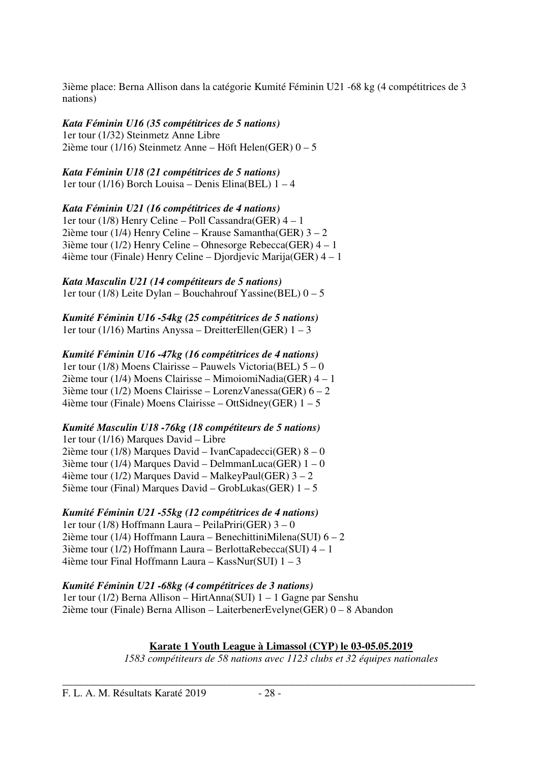3ième place: Berna Allison dans la catégorie Kumité Féminin U21 -68 kg (4 compétitrices de 3 nations)

*Kata Féminin U16 (35 compétitrices de 5 nations)*  1er tour (1/32) Steinmetz Anne Libre 2ième tour (1/16) Steinmetz Anne – Höft Helen(GER)  $0 - 5$ 

*Kata Féminin U18 (21 compétitrices de 5 nations)*  1er tour (1/16) Borch Louisa – Denis Elina(BEL)  $1 - 4$ 

*Kata Féminin U21 (16 compétitrices de 4 nations)*  1er tour (1/8) Henry Celine – Poll Cassandra(GER) 4 – 1 2ième tour (1/4) Henry Celine – Krause Samantha(GER) 3 – 2 3ième tour (1/2) Henry Celine – Ohnesorge Rebecca(GER) 4 – 1 4ième tour (Finale) Henry Celine – Djordjevic Marija(GER) 4 – 1

*Kata Masculin U21 (14 compétiteurs de 5 nations)*  1er tour (1/8) Leite Dylan – Bouchahrouf Yassine(BEL)  $0 - 5$ 

*Kumité Féminin U16 -54kg (25 compétitrices de 5 nations)*  1er tour (1/16) Martins Anyssa – DreitterEllen(GER) 1 – 3

### *Kumité Féminin U16 -47kg (16 compétitrices de 4 nations)*

1er tour (1/8) Moens Clairisse – Pauwels Victoria(BEL) 5 – 0 2ième tour (1/4) Moens Clairisse – MimoiomiNadia(GER) 4 – 1 3ième tour (1/2) Moens Clairisse – LorenzVanessa(GER) 6 – 2 4ième tour (Finale) Moens Clairisse – OttSidney(GER)  $1 - 5$ 

### *Kumité Masculin U18 -76kg (18 compétiteurs de 5 nations)*

1er tour (1/16) Marques David – Libre 2ième tour (1/8) Marques David – IvanCapadecci(GER) 8 – 0 3ième tour (1/4) Marques David – DelmmanLuca(GER)  $1 - 0$ 4ième tour (1/2) Marques David – MalkeyPaul(GER) 3 – 2 5ième tour (Final) Marques David – GrobLukas(GER) 1 – 5

### *Kumité Féminin U21 -55kg (12 compétitrices de 4 nations)*

1er tour (1/8) Hoffmann Laura – PeilaPriri(GER) 3 – 0 2ième tour (1/4) Hoffmann Laura – BenechittiniMilena(SUI) 6 – 2 3ième tour (1/2) Hoffmann Laura – BerlottaRebecca(SUI) 4 – 1 4ième tour Final Hoffmann Laura – KassNur(SUI) 1 – 3

*Kumité Féminin U21 -68kg (4 compétitrices de 3 nations)*  1er tour (1/2) Berna Allison – HirtAnna(SUI) 1 – 1 Gagne par Senshu 2ième tour (Finale) Berna Allison – LaiterbenerEvelyne(GER) 0 – 8 Abandon

**Karate 1 Youth League à Limassol (CYP) le 03-05.05.2019** 

*1583 compétiteurs de 58 nations avec 1123 clubs et 32 équipes nationales*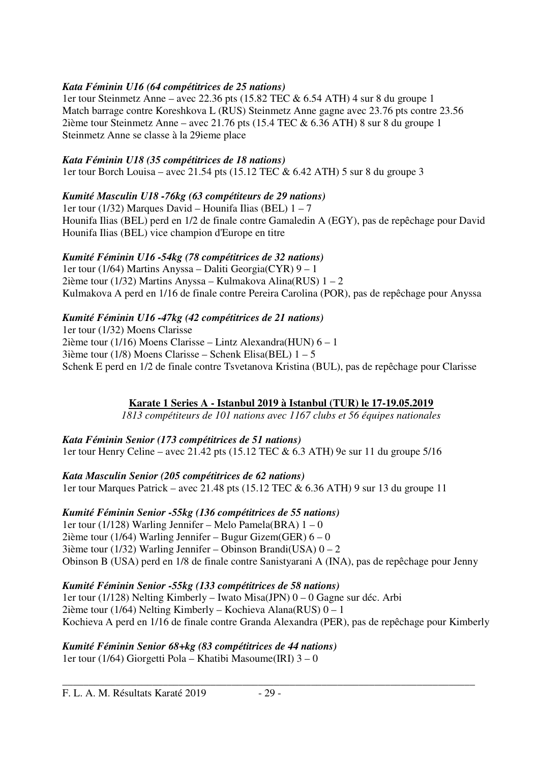### *Kata Féminin U16 (64 compétitrices de 25 nations)*

1er tour Steinmetz Anne – avec 22.36 pts (15.82 TEC & 6.54 ATH) 4 sur 8 du groupe 1 Match barrage contre Koreshkova L (RUS) Steinmetz Anne gagne avec 23.76 pts contre 23.56 2ième tour Steinmetz Anne – avec 21.76 pts (15.4 TEC & 6.36 ATH) 8 sur 8 du groupe 1 Steinmetz Anne se classe à la 29ieme place

### *Kata Féminin U18 (35 compétitrices de 18 nations)*

1er tour Borch Louisa – avec 21.54 pts (15.12 TEC & 6.42 ATH) 5 sur 8 du groupe 3

### *Kumité Masculin U18 -76kg (63 compétiteurs de 29 nations)*

1er tour (1/32) Marques David – Hounifa Ilias (BEL) 1 – 7 Hounifa Ilias (BEL) perd en 1/2 de finale contre Gamaledin A (EGY), pas de repêchage pour David Hounifa Ilias (BEL) vice champion d'Europe en titre

### *Kumité Féminin U16 -54kg (78 compétitrices de 32 nations)*

1er tour (1/64) Martins Anyssa – Daliti Georgia(CYR) 9 – 1 2ième tour (1/32) Martins Anyssa – Kulmakova Alina(RUS) 1 – 2 Kulmakova A perd en 1/16 de finale contre Pereira Carolina (POR), pas de repêchage pour Anyssa

### *Kumité Féminin U16 -47kg (42 compétitrices de 21 nations)*

1er tour (1/32) Moens Clarisse 2ième tour (1/16) Moens Clarisse – Lintz Alexandra(HUN) 6 – 1 3ième tour (1/8) Moens Clarisse – Schenk Elisa(BEL)  $1 - 5$ Schenk E perd en 1/2 de finale contre Tsvetanova Kristina (BUL), pas de repêchage pour Clarisse

### **Karate 1 Series A - Istanbul 2019 à Istanbul (TUR) le 17-19.05.2019**

*1813 compétiteurs de 101 nations avec 1167 clubs et 56 équipes nationales* 

### *Kata Féminin Senior (173 compétitrices de 51 nations)*

1er tour Henry Celine – avec 21.42 pts (15.12 TEC & 6.3 ATH) 9e sur 11 du groupe 5/16

### *Kata Masculin Senior (205 compétitrices de 62 nations)*

1er tour Marques Patrick – avec 21.48 pts (15.12 TEC & 6.36 ATH) 9 sur 13 du groupe 11

### *Kumité Féminin Senior -55kg (136 compétitrices de 55 nations)*

1er tour (1/128) Warling Jennifer – Melo Pamela(BRA) 1 – 0 2ième tour (1/64) Warling Jennifer – Bugur Gizem(GER)  $6 - 0$ 3ième tour (1/32) Warling Jennifer – Obinson Brandi(USA)  $0 - 2$ Obinson B (USA) perd en 1/8 de finale contre Sanistyarani A (INA), pas de repêchage pour Jenny

### *Kumité Féminin Senior -55kg (133 compétitrices de 58 nations)*

1er tour (1/128) Nelting Kimberly – Iwato Misa(JPN) 0 – 0 Gagne sur déc. Arbi 2ième tour (1/64) Nelting Kimberly – Kochieva Alana(RUS) 0 – 1 Kochieva A perd en 1/16 de finale contre Granda Alexandra (PER), pas de repêchage pour Kimberly

*Kumité Féminin Senior 68+kg (83 compétitrices de 44 nations)*  1er tour (1/64) Giorgetti Pola – Khatibi Masoume(IRI) 3 – 0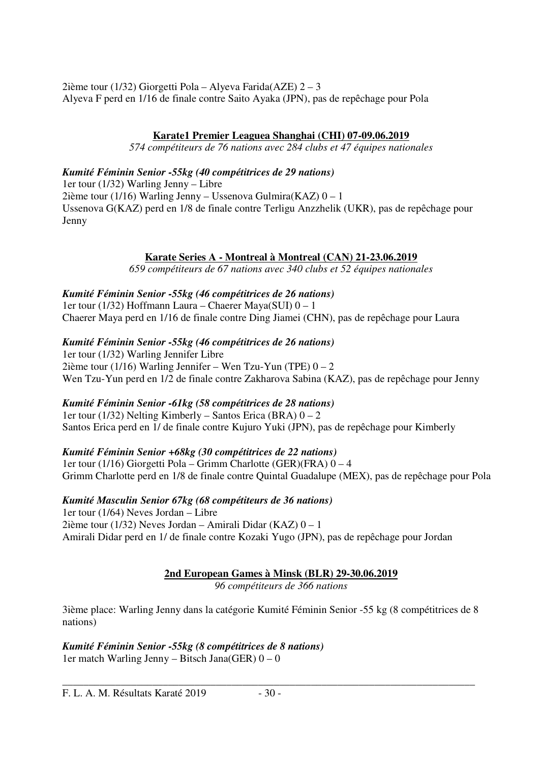2ième tour (1/32) Giorgetti Pola – Alyeva Farida(AZE) 2 – 3 Alyeva F perd en 1/16 de finale contre Saito Ayaka (JPN), pas de repêchage pour Pola

### **Karate1 Premier Leaguea Shanghai (CHI) 07-09.06.2019**

*574 compétiteurs de 76 nations avec 284 clubs et 47 équipes nationales* 

### *Kumité Féminin Senior -55kg (40 compétitrices de 29 nations)*

1er tour (1/32) Warling Jenny – Libre 2ième tour (1/16) Warling Jenny – Ussenova Gulmira(KAZ) 0 – 1 Ussenova G(KAZ) perd en 1/8 de finale contre Terligu Anzzhelik (UKR), pas de repêchage pour Jenny

### **Karate Series A - Montreal à Montreal (CAN) 21-23.06.2019**

*659 compétiteurs de 67 nations avec 340 clubs et 52 équipes nationales* 

### *Kumité Féminin Senior -55kg (46 compétitrices de 26 nations)*

1er tour (1/32) Hoffmann Laura – Chaerer Maya(SUI) 0 – 1 Chaerer Maya perd en 1/16 de finale contre Ding Jiamei (CHN), pas de repêchage pour Laura

### *Kumité Féminin Senior -55kg (46 compétitrices de 26 nations)*

1er tour (1/32) Warling Jennifer Libre 2ième tour (1/16) Warling Jennifer – Wen Tzu-Yun (TPE)  $0 - 2$ Wen Tzu-Yun perd en 1/2 de finale contre Zakharova Sabina (KAZ), pas de repêchage pour Jenny

### *Kumité Féminin Senior -61kg (58 compétitrices de 28 nations)*

1er tour (1/32) Nelting Kimberly – Santos Erica (BRA) 0 – 2 Santos Erica perd en 1/ de finale contre Kujuro Yuki (JPN), pas de repêchage pour Kimberly

### *Kumité Féminin Senior +68kg (30 compétitrices de 22 nations)*

1er tour (1/16) Giorgetti Pola – Grimm Charlotte (GER)(FRA) 0 – 4 Grimm Charlotte perd en 1/8 de finale contre Quintal Guadalupe (MEX), pas de repêchage pour Pola

### *Kumité Masculin Senior 67kg (68 compétiteurs de 36 nations)*

1er tour (1/64) Neves Jordan – Libre 2ième tour (1/32) Neves Jordan – Amirali Didar (KAZ) 0 – 1 Amirali Didar perd en 1/ de finale contre Kozaki Yugo (JPN), pas de repêchage pour Jordan

### **2nd European Games à Minsk (BLR) 29-30.06.2019**

*96 compétiteurs de 366 nations* 

3ième place: Warling Jenny dans la catégorie Kumité Féminin Senior -55 kg (8 compétitrices de 8 nations)

#### *Kumité Féminin Senior -55kg (8 compétitrices de 8 nations)*  1er match Warling Jenny – Bitsch Jana(GER)  $0 - 0$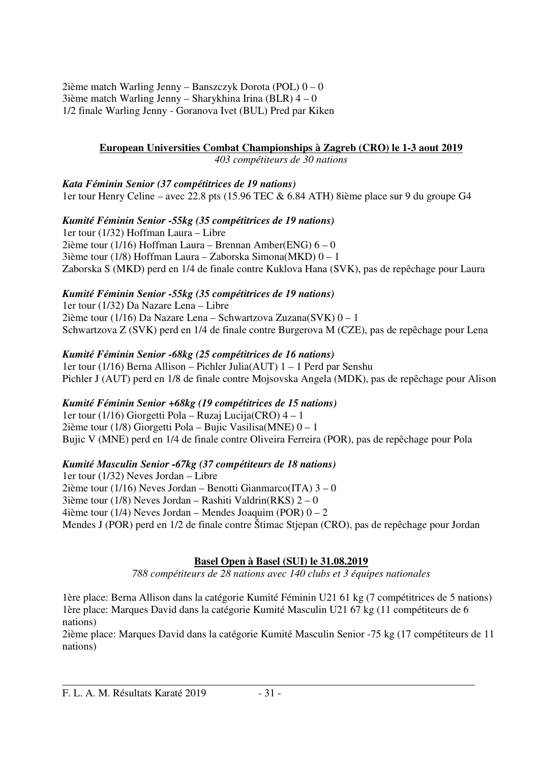2ième match Warling Jenny – Banszczyk Dorota (POL)  $0 - 0$  $3$ ième match Warling Jenny – Sharykhina Irina (BLR)  $4-0$ 1/2 finale Warling Jenny - Goranova Ivet (BUL) Pred par Kiken

### **European Universities Combat Championships à Zagreb (CRO) le 1-3 aout 2019**

*403 compétiteurs de 30 nations* 

*Kata Féminin Senior (37 compétitrices de 19 nations)*  1er tour Henry Celine – avec 22.8 pts (15.96 TEC & 6.84 ATH) 8ième place sur 9 du groupe G4

*Kumité Féminin Senior -55kg (35 compétitrices de 19 nations)*  1er tour (1/32) Hoffman Laura – Libre 2ième tour (1/16) Hoffman Laura – Brennan Amber(ENG)  $6 - 0$ 3ième tour (1/8) Hoffman Laura – Zaborska Simona(MKD) 0 – 1 Zaborska S (MKD) perd en 1/4 de finale contre Kuklova Hana (SVK), pas de repêchage pour Laura

### *Kumité Féminin Senior -55kg (35 compétitrices de 19 nations)*

1er tour (1/32) Da Nazare Lena – Libre 2ième tour (1/16) Da Nazare Lena – Schwartzova Zuzana(SVK) 0 – 1 Schwartzova Z (SVK) perd en 1/4 de finale contre Burgerova M (CZE), pas de repêchage pour Lena

### *Kumité Féminin Senior -68kg (25 compétitrices de 16 nations)*

1er tour (1/16) Berna Allison – Pichler Julia(AUT) 1 – 1 Perd par Senshu Pichler J (AUT) perd en 1/8 de finale contre Mojsovska Angela (MDK), pas de repêchage pour Alison

### *Kumité Féminin Senior +68kg (19 compétitrices de 15 nations)*

1er tour (1/16) Giorgetti Pola – Ruzaj Lucija(CRO) 4 – 1 2ième tour (1/8) Giorgetti Pola – Bujic Vasilisa(MNE) 0 – 1 Bujic V (MNE) perd en 1/4 de finale contre Oliveira Ferreira (POR), pas de repêchage pour Pola

### *Kumité Masculin Senior -67kg (37 compétiteurs de 18 nations)*

1er tour (1/32) Neves Jordan – Libre 2ième tour (1/16) Neves Jordan – Benotti Gianmarco(ITA)  $3 - 0$  $3$ ième tour (1/8) Neves Jordan – Rashiti Valdrin(RKS) 2 – 0 4ième tour (1/4) Neves Jordan – Mendes Joaquim (POR)  $0 - 2$ Mendes J (POR) perd en 1/2 de finale contre Štimac Stjepan (CRO), pas de repêchage pour Jordan

### **Basel Open à Basel (SUI) le 31.08.2019**

*788 compétiteurs de 28 nations avec 140 clubs et 3 équipes nationales* 

1ère place: Berna Allison dans la catégorie Kumité Féminin U21 61 kg (7 compétitrices de 5 nations) 1ère place: Marques David dans la catégorie Kumité Masculin U21 67 kg (11 compétiteurs de 6 nations)

2ième place: Marques David dans la catégorie Kumité Masculin Senior -75 kg (17 compétiteurs de 11 nations)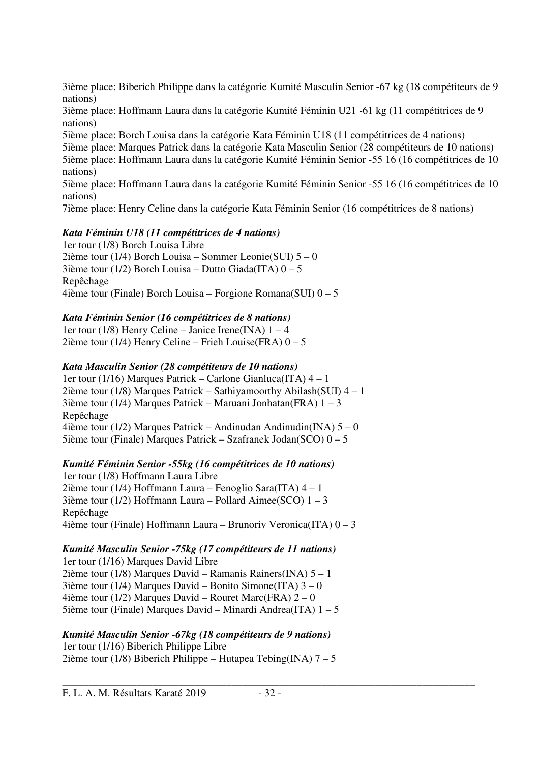3ième place: Biberich Philippe dans la catégorie Kumité Masculin Senior -67 kg (18 compétiteurs de 9 nations)

3ième place: Hoffmann Laura dans la catégorie Kumité Féminin U21 -61 kg (11 compétitrices de 9 nations)

5ième place: Borch Louisa dans la catégorie Kata Féminin U18 (11 compétitrices de 4 nations)

5ième place: Marques Patrick dans la catégorie Kata Masculin Senior (28 compétiteurs de 10 nations) 5ième place: Hoffmann Laura dans la catégorie Kumité Féminin Senior -55 16 (16 compétitrices de 10 nations)

5ième place: Hoffmann Laura dans la catégorie Kumité Féminin Senior -55 16 (16 compétitrices de 10 nations)

7ième place: Henry Celine dans la catégorie Kata Féminin Senior (16 compétitrices de 8 nations)

### *Kata Féminin U18 (11 compétitrices de 4 nations)*

1er tour (1/8) Borch Louisa Libre 2ième tour (1/4) Borch Louisa – Sommer Leonie(SUI) 5 – 0 3ième tour (1/2) Borch Louisa – Dutto Giada(ITA)  $0 - 5$ Repêchage 4ième tour (Finale) Borch Louisa – Forgione Romana(SUI) 0 – 5

### *Kata Féminin Senior (16 compétitrices de 8 nations)*

1er tour (1/8) Henry Celine – Janice Irene(INA)  $1 - 4$ 2ième tour (1/4) Henry Celine – Frieh Louise(FRA)  $0 - 5$ 

### *Kata Masculin Senior (28 compétiteurs de 10 nations)*

1er tour (1/16) Marques Patrick – Carlone Gianluca(ITA) 4 – 1 2ième tour (1/8) Marques Patrick – Sathiyamoorthy Abilash(SUI) 4 – 1 3ième tour (1/4) Marques Patrick – Maruani Jonhatan(FRA) 1 – 3 Repêchage 4ième tour (1/2) Marques Patrick – Andinudan Andinudin(INA) 5 – 0 5ième tour (Finale) Marques Patrick – Szafranek Jodan(SCO) 0 – 5

### *Kumité Féminin Senior -55kg (16 compétitrices de 10 nations)*

1er tour (1/8) Hoffmann Laura Libre 2ième tour (1/4) Hoffmann Laura – Fenoglio Sara(ITA) 4 – 1 3ième tour (1/2) Hoffmann Laura – Pollard Aimee(SCO) 1 – 3 Repêchage 4ième tour (Finale) Hoffmann Laura – Brunoriv Veronica(ITA) 0 – 3

#### *Kumité Masculin Senior -75kg (17 compétiteurs de 11 nations)*

1er tour (1/16) Marques David Libre 2ième tour (1/8) Marques David – Ramanis Rainers(INA) 5 – 1 3ième tour (1/4) Marques David – Bonito Simone(ITA) 3 – 0 4ième tour (1/2) Marques David – Rouret Marc(FRA)  $2-0$ 5ième tour (Finale) Marques David – Minardi Andrea(ITA)  $1 - 5$ 

#### *Kumité Masculin Senior -67kg (18 compétiteurs de 9 nations)*

1er tour (1/16) Biberich Philippe Libre 2ième tour (1/8) Biberich Philippe – Hutapea Tebing(INA)  $7 - 5$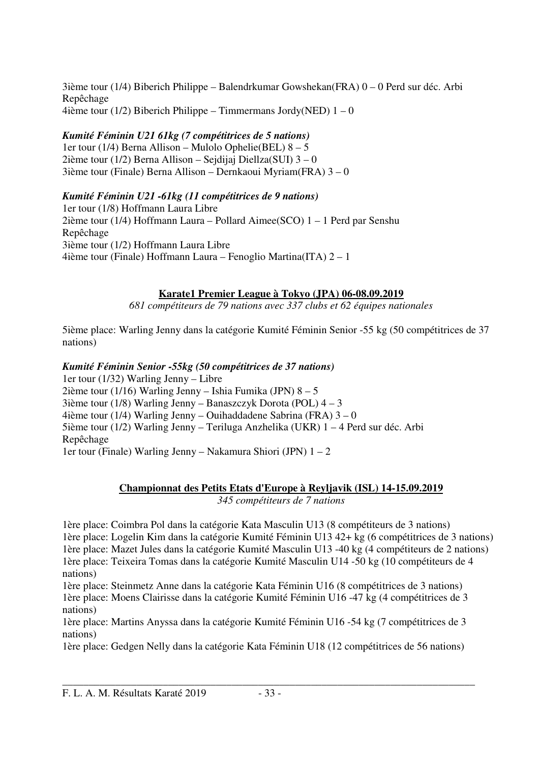3ième tour (1/4) Biberich Philippe – Balendrkumar Gowshekan(FRA) 0 – 0 Perd sur déc. Arbi Repêchage 4ième tour (1/2) Biberich Philippe – Timmermans Jordy(NED)  $1 - 0$ 

### *Kumité Féminin U21 61kg (7 compétitrices de 5 nations)*

1er tour (1/4) Berna Allison – Mulolo Ophelie(BEL) 8 – 5 2ième tour (1/2) Berna Allison – Sejdijaj Diellza(SUI) 3 – 0 3ième tour (Finale) Berna Allison – Dernkaoui Myriam(FRA) 3 – 0

### *Kumité Féminin U21 -61kg (11 compétitrices de 9 nations)*

1er tour (1/8) Hoffmann Laura Libre 2ième tour (1/4) Hoffmann Laura – Pollard Aimee(SCO) 1 – 1 Perd par Senshu Repêchage 3ième tour (1/2) Hoffmann Laura Libre 4ième tour (Finale) Hoffmann Laura – Fenoglio Martina(ITA) 2 – 1

### **Karate1 Premier League à Tokyo (JPA) 06-08.09.2019**

*681 compétiteurs de 79 nations avec 337 clubs et 62 équipes nationales* 

5ième place: Warling Jenny dans la catégorie Kumité Féminin Senior -55 kg (50 compétitrices de 37 nations)

### *Kumité Féminin Senior -55kg (50 compétitrices de 37 nations)*

1er tour (1/32) Warling Jenny – Libre 2ième tour (1/16) Warling Jenny – Ishia Fumika (JPN)  $8 - 5$ 3ième tour (1/8) Warling Jenny – Banaszczyk Dorota (POL)  $4 - 3$ 4ième tour (1/4) Warling Jenny – Ouihaddadene Sabrina (FRA) 3 – 0 5ième tour (1/2) Warling Jenny – Teriluga Anzhelika (UKR) 1 – 4 Perd sur déc. Arbi Repêchage 1er tour (Finale) Warling Jenny – Nakamura Shiori (JPN) 1 – 2

### **Championnat des Petits Etats d'Europe à Reyljavik (ISL) 14-15.09.2019**

*345 compétiteurs de 7 nations* 

1ère place: Coimbra Pol dans la catégorie Kata Masculin U13 (8 compétiteurs de 3 nations) 1ère place: Logelin Kim dans la catégorie Kumité Féminin U13 42+ kg (6 compétitrices de 3 nations) 1ère place: Mazet Jules dans la catégorie Kumité Masculin U13 -40 kg (4 compétiteurs de 2 nations) 1ère place: Teixeira Tomas dans la catégorie Kumité Masculin U14 -50 kg (10 compétiteurs de 4 nations)

1ère place: Steinmetz Anne dans la catégorie Kata Féminin U16 (8 compétitrices de 3 nations) 1ère place: Moens Clairisse dans la catégorie Kumité Féminin U16 -47 kg (4 compétitrices de 3 nations)

1ère place: Martins Anyssa dans la catégorie Kumité Féminin U16 -54 kg (7 compétitrices de 3 nations)

1ère place: Gedgen Nelly dans la catégorie Kata Féminin U18 (12 compétitrices de 56 nations)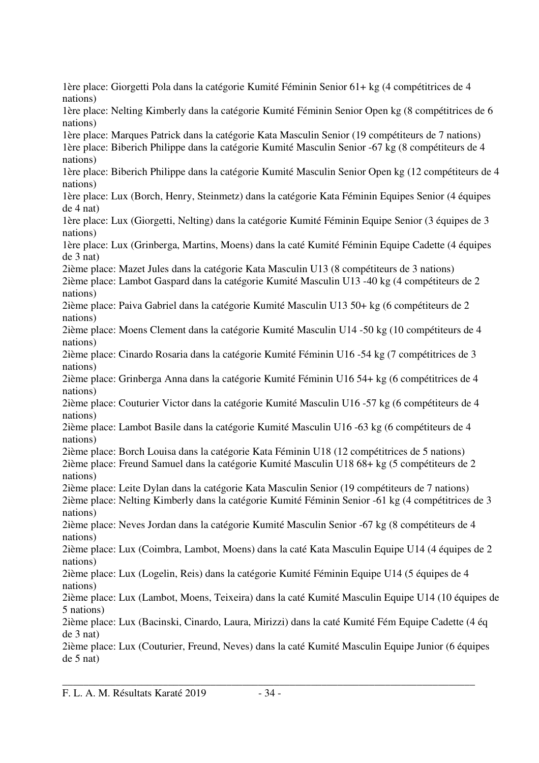1ère place: Giorgetti Pola dans la catégorie Kumité Féminin Senior 61+ kg (4 compétitrices de 4 nations)

1ère place: Nelting Kimberly dans la catégorie Kumité Féminin Senior Open kg (8 compétitrices de 6 nations)

1ère place: Marques Patrick dans la catégorie Kata Masculin Senior (19 compétiteurs de 7 nations) 1ère place: Biberich Philippe dans la catégorie Kumité Masculin Senior -67 kg (8 compétiteurs de 4 nations)

1ère place: Biberich Philippe dans la catégorie Kumité Masculin Senior Open kg (12 compétiteurs de 4 nations)

1ère place: Lux (Borch, Henry, Steinmetz) dans la catégorie Kata Féminin Equipes Senior (4 équipes de 4 nat)

1ère place: Lux (Giorgetti, Nelting) dans la catégorie Kumité Féminin Equipe Senior (3 équipes de 3 nations)

1ère place: Lux (Grinberga, Martins, Moens) dans la caté Kumité Féminin Equipe Cadette (4 équipes de 3 nat)

2ième place: Mazet Jules dans la catégorie Kata Masculin U13 (8 compétiteurs de 3 nations)

2ième place: Lambot Gaspard dans la catégorie Kumité Masculin U13 -40 kg (4 compétiteurs de 2 nations)

2ième place: Paiva Gabriel dans la catégorie Kumité Masculin U13 50+ kg (6 compétiteurs de 2 nations)

2ième place: Moens Clement dans la catégorie Kumité Masculin U14 -50 kg (10 compétiteurs de 4 nations)

2ième place: Cinardo Rosaria dans la catégorie Kumité Féminin U16 -54 kg (7 compétitrices de 3 nations)

2ième place: Grinberga Anna dans la catégorie Kumité Féminin U16 54+ kg (6 compétitrices de 4 nations)

2ième place: Couturier Victor dans la catégorie Kumité Masculin U16 -57 kg (6 compétiteurs de 4 nations)

2ième place: Lambot Basile dans la catégorie Kumité Masculin U16 -63 kg (6 compétiteurs de 4 nations)

2ième place: Borch Louisa dans la catégorie Kata Féminin U18 (12 compétitrices de 5 nations) 2ième place: Freund Samuel dans la catégorie Kumité Masculin U18 68+ kg (5 compétiteurs de 2 nations)

2ième place: Leite Dylan dans la catégorie Kata Masculin Senior (19 compétiteurs de 7 nations)

2ième place: Nelting Kimberly dans la catégorie Kumité Féminin Senior -61 kg (4 compétitrices de 3 nations)

2ième place: Neves Jordan dans la catégorie Kumité Masculin Senior -67 kg (8 compétiteurs de 4 nations)

2ième place: Lux (Coimbra, Lambot, Moens) dans la caté Kata Masculin Equipe U14 (4 équipes de 2 nations)

2ième place: Lux (Logelin, Reis) dans la catégorie Kumité Féminin Equipe U14 (5 équipes de 4 nations)

2ième place: Lux (Lambot, Moens, Teixeira) dans la caté Kumité Masculin Equipe U14 (10 équipes de 5 nations)

2ième place: Lux (Bacinski, Cinardo, Laura, Mirizzi) dans la caté Kumité Fém Equipe Cadette (4 éq de 3 nat)

2ième place: Lux (Couturier, Freund, Neves) dans la caté Kumité Masculin Equipe Junior (6 équipes de 5 nat)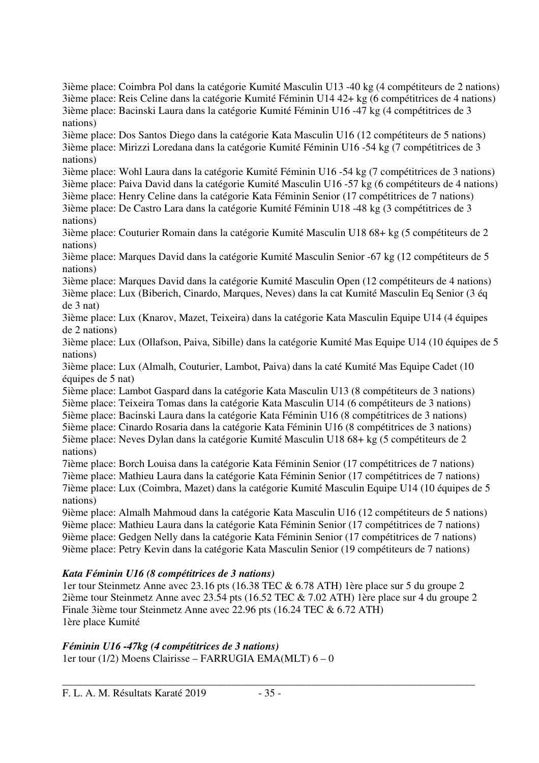3ième place: Coimbra Pol dans la catégorie Kumité Masculin U13 -40 kg (4 compétiteurs de 2 nations) 3ième place: Reis Celine dans la catégorie Kumité Féminin U14 42+ kg (6 compétitrices de 4 nations) 3ième place: Bacinski Laura dans la catégorie Kumité Féminin U16 -47 kg (4 compétitrices de 3 nations) 3ième place: Dos Santos Diego dans la catégorie Kata Masculin U16 (12 compétiteurs de 5 nations) 3ième place: Mirizzi Loredana dans la catégorie Kumité Féminin U16 -54 kg (7 compétitrices de 3 nations) 3ième place: Wohl Laura dans la catégorie Kumité Féminin U16 -54 kg (7 compétitrices de 3 nations) 3ième place: Paiva David dans la catégorie Kumité Masculin U16 -57 kg (6 compétiteurs de 4 nations) 3ième place: Henry Celine dans la catégorie Kata Féminin Senior (17 compétitrices de 7 nations) 3ième place: De Castro Lara dans la catégorie Kumité Féminin U18 -48 kg (3 compétitrices de 3 nations) 3ième place: Couturier Romain dans la catégorie Kumité Masculin U18 68+ kg (5 compétiteurs de 2 nations) 3ième place: Marques David dans la catégorie Kumité Masculin Senior -67 kg (12 compétiteurs de 5 nations) 3ième place: Marques David dans la catégorie Kumité Masculin Open (12 compétiteurs de 4 nations) 3ième place: Lux (Biberich, Cinardo, Marques, Neves) dans la cat Kumité Masculin Eq Senior (3 éq de 3 nat) 3ième place: Lux (Knarov, Mazet, Teixeira) dans la catégorie Kata Masculin Equipe U14 (4 équipes de 2 nations) 3ième place: Lux (Ollafson, Paiva, Sibille) dans la catégorie Kumité Mas Equipe U14 (10 équipes de 5 nations) 3ième place: Lux (Almalh, Couturier, Lambot, Paiva) dans la caté Kumité Mas Equipe Cadet (10 équipes de 5 nat) 5ième place: Lambot Gaspard dans la catégorie Kata Masculin U13 (8 compétiteurs de 3 nations) 5ième place: Teixeira Tomas dans la catégorie Kata Masculin U14 (6 compétiteurs de 3 nations) 5ième place: Bacinski Laura dans la catégorie Kata Féminin U16 (8 compétitrices de 3 nations) 5ième place: Cinardo Rosaria dans la catégorie Kata Féminin U16 (8 compétitrices de 3 nations) 5ième place: Neves Dylan dans la catégorie Kumité Masculin U18 68+ kg (5 compétiteurs de 2 nations) 7ième place: Borch Louisa dans la catégorie Kata Féminin Senior (17 compétitrices de 7 nations) 7ième place: Mathieu Laura dans la catégorie Kata Féminin Senior (17 compétitrices de 7 nations) 7ième place: Lux (Coimbra, Mazet) dans la catégorie Kumité Masculin Equipe U14 (10 équipes de 5 nations) 9ième place: Almalh Mahmoud dans la catégorie Kata Masculin U16 (12 compétiteurs de 5 nations) 9ième place: Mathieu Laura dans la catégorie Kata Féminin Senior (17 compétitrices de 7 nations) 9ième place: Gedgen Nelly dans la catégorie Kata Féminin Senior (17 compétitrices de 7 nations) 9ième place: Petry Kevin dans la catégorie Kata Masculin Senior (19 compétiteurs de 7 nations) *Kata Féminin U16 (8 compétitrices de 3 nations)* 

1er tour Steinmetz Anne avec 23.16 pts (16.38 TEC & 6.78 ATH) 1ère place sur 5 du groupe 2 2ième tour Steinmetz Anne avec 23.54 pts (16.52 TEC & 7.02 ATH) 1ère place sur 4 du groupe 2 Finale 3ième tour Steinmetz Anne avec 22.96 pts (16.24 TEC & 6.72 ATH) 1ère place Kumité

*Féminin U16 -47kg (4 compétitrices de 3 nations)*  1er tour (1/2) Moens Clairisse – FARRUGIA EMA(MLT) 6 – 0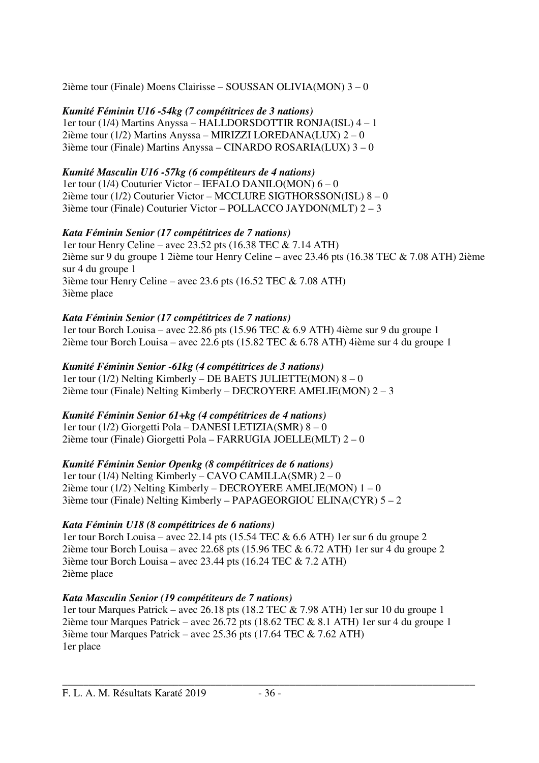2ième tour (Finale) Moens Clairisse – SOUSSAN OLIVIA(MON) 3 – 0

*Kumité Féminin U16 -54kg (7 compétitrices de 3 nations)*  1er tour (1/4) Martins Anyssa – HALLDORSDOTTIR RONJA(ISL) 4 – 1 2ième tour (1/2) Martins Anyssa – MIRIZZI LOREDANA(LUX) 2 – 0 3ième tour (Finale) Martins Anyssa – CINARDO ROSARIA(LUX) 3 – 0

### *Kumité Masculin U16 -57kg (6 compétiteurs de 4 nations)*

1er tour (1/4) Couturier Victor – IEFALO DANILO(MON) 6 – 0 2ième tour (1/2) Couturier Victor – MCCLURE SIGTHORSSON(ISL) 8 – 0 3ième tour (Finale) Couturier Victor – POLLACCO JAYDON(MLT) 2 – 3

### *Kata Féminin Senior (17 compétitrices de 7 nations)*

1er tour Henry Celine – avec 23.52 pts (16.38 TEC & 7.14 ATH) 2ième sur 9 du groupe 1 2ième tour Henry Celine – avec 23.46 pts (16.38 TEC & 7.08 ATH) 2ième sur 4 du groupe 1 3ième tour Henry Celine – avec 23.6 pts (16.52 TEC  $& 7.08$  ATH) 3ième place

### *Kata Féminin Senior (17 compétitrices de 7 nations)*

1er tour Borch Louisa – avec 22.86 pts (15.96 TEC & 6.9 ATH) 4ième sur 9 du groupe 1 2ième tour Borch Louisa – avec 22.6 pts (15.82 TEC & 6.78 ATH) 4ième sur 4 du groupe 1

*Kumité Féminin Senior -61kg (4 compétitrices de 3 nations)*  1er tour (1/2) Nelting Kimberly – DE BAETS JULIETTE(MON)  $8 - 0$ 2ième tour (Finale) Nelting Kimberly – DECROYERE AMELIE(MON) 2 – 3

### *Kumité Féminin Senior 61+kg (4 compétitrices de 4 nations)*

1er tour (1/2) Giorgetti Pola – DANESI LETIZIA(SMR) 8 – 0 2ième tour (Finale) Giorgetti Pola – FARRUGIA JOELLE(MLT) 2 – 0

*Kumité Féminin Senior Openkg (8 compétitrices de 6 nations)*  1er tour (1/4) Nelting Kimberly – CAVO CAMILLA(SMR) 2 – 0 2ième tour (1/2) Nelting Kimberly – DECROYERE AMELIE(MON) 1 – 0 3ième tour (Finale) Nelting Kimberly – PAPAGEORGIOU ELINA(CYR) 5 – 2

### *Kata Féminin U18 (8 compétitrices de 6 nations)*

1er tour Borch Louisa – avec 22.14 pts (15.54 TEC & 6.6 ATH) 1er sur 6 du groupe 2 2ième tour Borch Louisa – avec 22.68 pts (15.96 TEC & 6.72 ATH) 1er sur 4 du groupe 2 3ième tour Borch Louisa – avec 23.44 pts (16.24 TEC & 7.2 ATH) 2ième place

### *Kata Masculin Senior (19 compétiteurs de 7 nations)*

1er tour Marques Patrick – avec 26.18 pts (18.2 TEC & 7.98 ATH) 1er sur 10 du groupe 1 2ième tour Marques Patrick – avec 26.72 pts (18.62 TEC & 8.1 ATH) 1er sur 4 du groupe 1 3ième tour Marques Patrick – avec 25.36 pts (17.64 TEC & 7.62 ATH) 1er place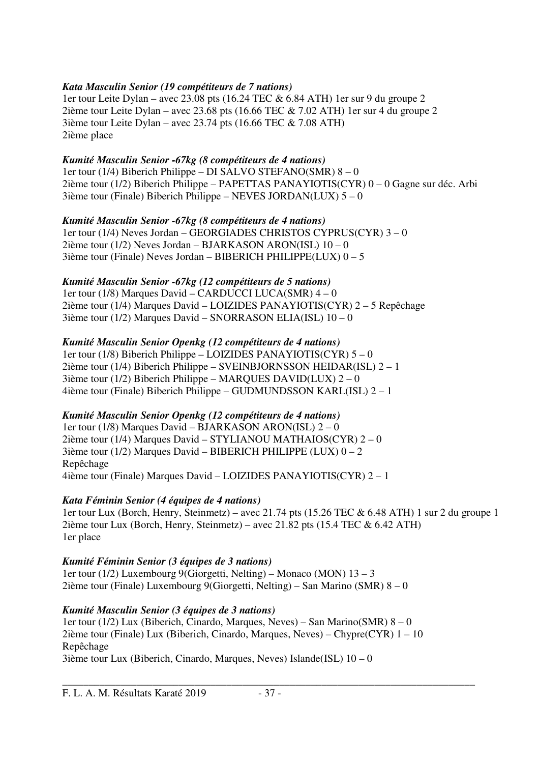### *Kata Masculin Senior (19 compétiteurs de 7 nations)*

1er tour Leite Dylan – avec 23.08 pts (16.24 TEC & 6.84 ATH) 1er sur 9 du groupe 2 2ième tour Leite Dylan – avec 23.68 pts (16.66 TEC & 7.02 ATH) 1er sur 4 du groupe 2 3ième tour Leite Dylan – avec 23.74 pts (16.66 TEC & 7.08 ATH) 2ième place

### *Kumité Masculin Senior -67kg (8 compétiteurs de 4 nations)*

1er tour (1/4) Biberich Philippe – DI SALVO STEFANO(SMR) 8 – 0 2ième tour (1/2) Biberich Philippe – PAPETTAS PANAYIOTIS(CYR) 0 – 0 Gagne sur déc. Arbi 3ième tour (Finale) Biberich Philippe – NEVES JORDAN(LUX) 5 – 0

#### *Kumité Masculin Senior -67kg (8 compétiteurs de 4 nations)*

1er tour (1/4) Neves Jordan – GEORGIADES CHRISTOS CYPRUS(CYR) 3 – 0 2ième tour ( $1/2$ ) Neves Jordan – BJARKASON ARON(ISL)  $10 - 0$ 3ième tour (Finale) Neves Jordan – BIBERICH PHILIPPE(LUX) 0 – 5

#### *Kumité Masculin Senior -67kg (12 compétiteurs de 5 nations)*

1er tour (1/8) Marques David – CARDUCCI LUCA(SMR) 4 – 0 2ième tour (1/4) Marques David – LOIZIDES PANAYIOTIS(CYR) 2 – 5 Repêchage 3ième tour (1/2) Marques David – SNORRASON ELIA(ISL) 10 – 0

### *Kumité Masculin Senior Openkg (12 compétiteurs de 4 nations)*

1er tour (1/8) Biberich Philippe – LOIZIDES PANAYIOTIS(CYR) 5 – 0 2ième tour (1/4) Biberich Philippe – SVEINBJORNSSON HEIDAR(ISL) 2 – 1  $3$ ième tour (1/2) Biberich Philippe – MARQUES DAVID(LUX)  $2-0$ 4ième tour (Finale) Biberich Philippe – GUDMUNDSSON KARL(ISL) 2 – 1

### *Kumité Masculin Senior Openkg (12 compétiteurs de 4 nations)*

1er tour (1/8) Marques David – BJARKASON ARON(ISL) 2 – 0 2ième tour (1/4) Marques David – STYLIANOU MATHAIOS(CYR) 2 – 0 3ième tour (1/2) Marques David – BIBERICH PHILIPPE (LUX)  $0 - 2$ Repêchage 4ième tour (Finale) Marques David – LOIZIDES PANAYIOTIS(CYR) 2 – 1

#### *Kata Féminin Senior (4 équipes de 4 nations)*

1er tour Lux (Borch, Henry, Steinmetz) – avec 21.74 pts (15.26 TEC & 6.48 ATH) 1 sur 2 du groupe 1 2ième tour Lux (Borch, Henry, Steinmetz) – avec 21.82 pts (15.4 TEC & 6.42 ATH) 1er place

### *Kumité Féminin Senior (3 équipes de 3 nations)*

1er tour (1/2) Luxembourg 9(Giorgetti, Nelting) – Monaco (MON) 13 – 3 2ième tour (Finale) Luxembourg 9(Giorgetti, Nelting) – San Marino (SMR) 8 – 0

### *Kumité Masculin Senior (3 équipes de 3 nations)*

1er tour (1/2) Lux (Biberich, Cinardo, Marques, Neves) – San Marino(SMR) 8 – 0 2ième tour (Finale) Lux (Biberich, Cinardo, Marques, Neves) – Chypre(CYR)  $1 - 10$ Repêchage 3ième tour Lux (Biberich, Cinardo, Marques, Neves) Islande(ISL)  $10 - 0$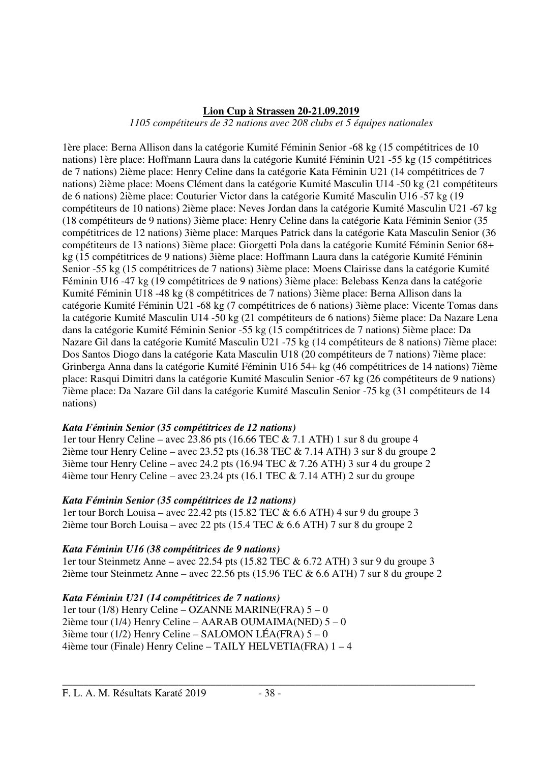### **Lion Cup à Strassen 20-21.09.2019**

*1105 compétiteurs de 32 nations avec 208 clubs et 5 équipes nationales* 

1ère place: Berna Allison dans la catégorie Kumité Féminin Senior -68 kg (15 compétitrices de 10 nations) 1ère place: Hoffmann Laura dans la catégorie Kumité Féminin U21 -55 kg (15 compétitrices de 7 nations) 2ième place: Henry Celine dans la catégorie Kata Féminin U21 (14 compétitrices de 7 nations) 2ième place: Moens Clément dans la catégorie Kumité Masculin U14 -50 kg (21 compétiteurs de 6 nations) 2ième place: Couturier Victor dans la catégorie Kumité Masculin U16 -57 kg (19 compétiteurs de 10 nations) 2ième place: Neves Jordan dans la catégorie Kumité Masculin U21 -67 kg (18 compétiteurs de 9 nations) 3ième place: Henry Celine dans la catégorie Kata Féminin Senior (35 compétitrices de 12 nations) 3ième place: Marques Patrick dans la catégorie Kata Masculin Senior (36 compétiteurs de 13 nations) 3ième place: Giorgetti Pola dans la catégorie Kumité Féminin Senior 68+ kg (15 compétitrices de 9 nations) 3ième place: Hoffmann Laura dans la catégorie Kumité Féminin Senior -55 kg (15 compétitrices de 7 nations) 3ième place: Moens Clairisse dans la catégorie Kumité Féminin U16 -47 kg (19 compétitrices de 9 nations) 3ième place: Belebass Kenza dans la catégorie Kumité Féminin U18 -48 kg (8 compétitrices de 7 nations) 3ième place: Berna Allison dans la catégorie Kumité Féminin U21 -68 kg (7 compétitrices de 6 nations) 3ième place: Vicente Tomas dans la catégorie Kumité Masculin U14 -50 kg (21 compétiteurs de 6 nations) 5ième place: Da Nazare Lena dans la catégorie Kumité Féminin Senior -55 kg (15 compétitrices de 7 nations) 5ième place: Da Nazare Gil dans la catégorie Kumité Masculin U21 -75 kg (14 compétiteurs de 8 nations) 7ième place: Dos Santos Diogo dans la catégorie Kata Masculin U18 (20 compétiteurs de 7 nations) 7ième place: Grinberga Anna dans la catégorie Kumité Féminin U16 54+ kg (46 compétitrices de 14 nations) 7ième place: Rasqui Dimitri dans la catégorie Kumité Masculin Senior -67 kg (26 compétiteurs de 9 nations) 7ième place: Da Nazare Gil dans la catégorie Kumité Masculin Senior -75 kg (31 compétiteurs de 14 nations)

#### *Kata Féminin Senior (35 compétitrices de 12 nations)*

1er tour Henry Celine – avec 23.86 pts (16.66 TEC & 7.1 ATH) 1 sur 8 du groupe 4 2ième tour Henry Celine – avec 23.52 pts (16.38 TEC & 7.14 ATH) 3 sur 8 du groupe 2 3ième tour Henry Celine – avec 24.2 pts (16.94 TEC & 7.26 ATH) 3 sur 4 du groupe 2 4ième tour Henry Celine – avec 23.24 pts (16.1 TEC & 7.14 ATH) 2 sur du groupe

#### *Kata Féminin Senior (35 compétitrices de 12 nations)*

1er tour Borch Louisa – avec 22.42 pts (15.82 TEC & 6.6 ATH) 4 sur 9 du groupe 3 2ième tour Borch Louisa – avec 22 pts (15.4 TEC & 6.6 ATH) 7 sur 8 du groupe 2

### *Kata Féminin U16 (38 compétitrices de 9 nations)*

1er tour Steinmetz Anne – avec 22.54 pts (15.82 TEC & 6.72 ATH) 3 sur 9 du groupe 3 2ième tour Steinmetz Anne – avec 22.56 pts (15.96 TEC & 6.6 ATH) 7 sur 8 du groupe 2

*Kata Féminin U21 (14 compétitrices de 7 nations)*  1er tour (1/8) Henry Celine – OZANNE MARINE(FRA)  $5 - 0$ 2ième tour (1/4) Henry Celine – AARAB OUMAIMA(NED)  $5 - 0$ 3ième tour ( $1/2$ ) Henry Celine – SALOMON LÉA(FRA)  $5 - 0$ 4ième tour (Finale) Henry Celine – TAILY HELVETIA(FRA) 1 – 4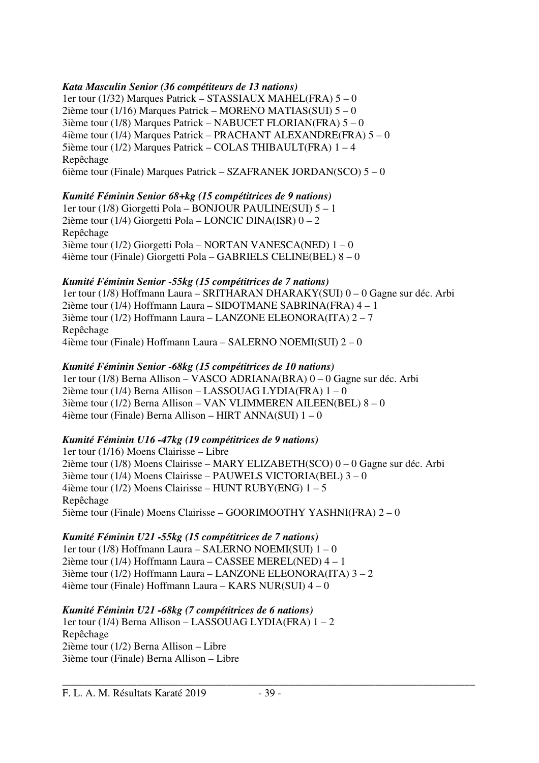### *Kata Masculin Senior (36 compétiteurs de 13 nations)*

1er tour (1/32) Marques Patrick – STASSIAUX MAHEL(FRA) 5 – 0 2ième tour (1/16) Marques Patrick – MORENO MATIAS(SUI) 5 – 0 3ième tour (1/8) Marques Patrick – NABUCET FLORIAN(FRA) 5 – 0 4ième tour (1/4) Marques Patrick – PRACHANT ALEXANDRE(FRA) 5 – 0 5ième tour (1/2) Marques Patrick – COLAS THIBAULT(FRA) 1 – 4 Repêchage 6ième tour (Finale) Marques Patrick – SZAFRANEK JORDAN(SCO) 5 – 0

### *Kumité Féminin Senior 68+kg (15 compétitrices de 9 nations)*

1er tour (1/8) Giorgetti Pola – BONJOUR PAULINE(SUI) 5 – 1 2ième tour (1/4) Giorgetti Pola – LONCIC DINA(ISR) 0 – 2 Repêchage 3ième tour (1/2) Giorgetti Pola – NORTAN VANESCA(NED) 1 – 0 4ième tour (Finale) Giorgetti Pola – GABRIELS CELINE(BEL) 8 – 0

### *Kumité Féminin Senior -55kg (15 compétitrices de 7 nations)*

1er tour (1/8) Hoffmann Laura – SRITHARAN DHARAKY(SUI) 0 – 0 Gagne sur déc. Arbi 2ième tour (1/4) Hoffmann Laura – SIDOTMANE SABRINA(FRA) 4 – 1 3ième tour (1/2) Hoffmann Laura – LANZONE ELEONORA(ITA) 2 – 7 Repêchage 4ième tour (Finale) Hoffmann Laura – SALERNO NOEMI(SUI) 2 – 0

*Kumité Féminin Senior -68kg (15 compétitrices de 10 nations)*  1er tour (1/8) Berna Allison – VASCO ADRIANA(BRA) 0 – 0 Gagne sur déc. Arbi 2ième tour (1/4) Berna Allison – LASSOUAG LYDIA(FRA) 1 – 0 3ième tour (1/2) Berna Allison – VAN VLIMMEREN AILEEN(BEL) 8 – 0 4ième tour (Finale) Berna Allison – HIRT ANNA(SUI)  $1 - 0$ 

### *Kumité Féminin U16 -47kg (19 compétitrices de 9 nations)*

1er tour (1/16) Moens Clairisse – Libre 2ième tour (1/8) Moens Clairisse – MARY ELIZABETH(SCO) 0 – 0 Gagne sur déc. Arbi 3ième tour (1/4) Moens Clairisse – PAUWELS VICTORIA(BEL) 3 – 0 4ième tour (1/2) Moens Clairisse – HUNT RUBY(ENG) 1 – 5 Repêchage 5ième tour (Finale) Moens Clairisse – GOORIMOOTHY YASHNI(FRA) 2 – 0

#### *Kumité Féminin U21 -55kg (15 compétitrices de 7 nations)*  1er tour (1/8) Hoffmann Laura – SALERNO NOEMI(SUI) 1 – 0 2ième tour (1/4) Hoffmann Laura – CASSEE MEREL(NED) 4 – 1 3ième tour (1/2) Hoffmann Laura – LANZONE ELEONORA(ITA) 3 – 2 4ième tour (Finale) Hoffmann Laura – KARS NUR(SUI) 4 – 0

# *Kumité Féminin U21 -68kg (7 compétitrices de 6 nations)*

1er tour (1/4) Berna Allison – LASSOUAG LYDIA(FRA) 1 – 2 Repêchage 2ième tour (1/2) Berna Allison – Libre 3ième tour (Finale) Berna Allison – Libre